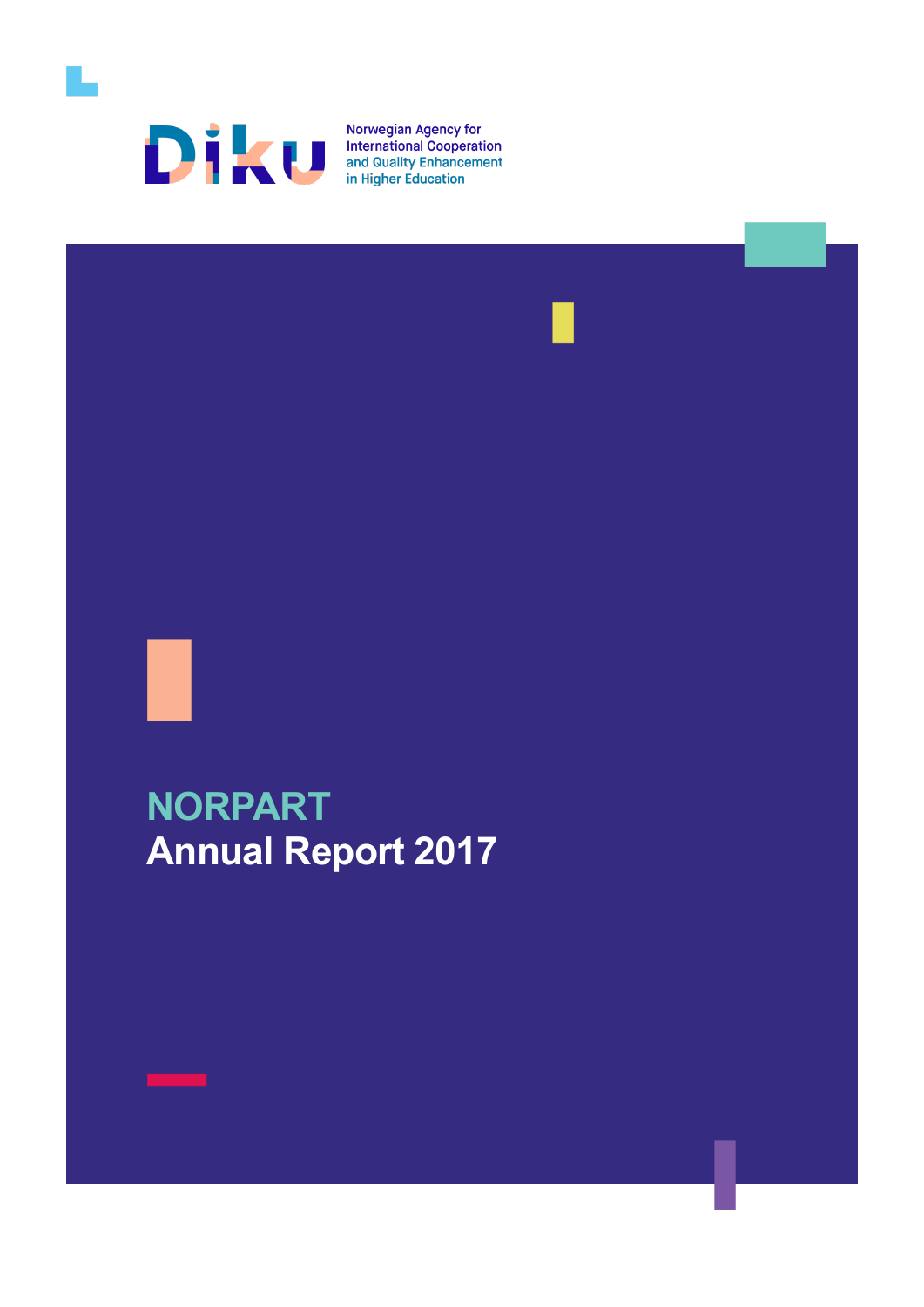

**Norwegian Agency for<br>International Cooperation<br>and Quality Enhancement<br>in Higher Education** 





# **NORPART Annual Report 2017**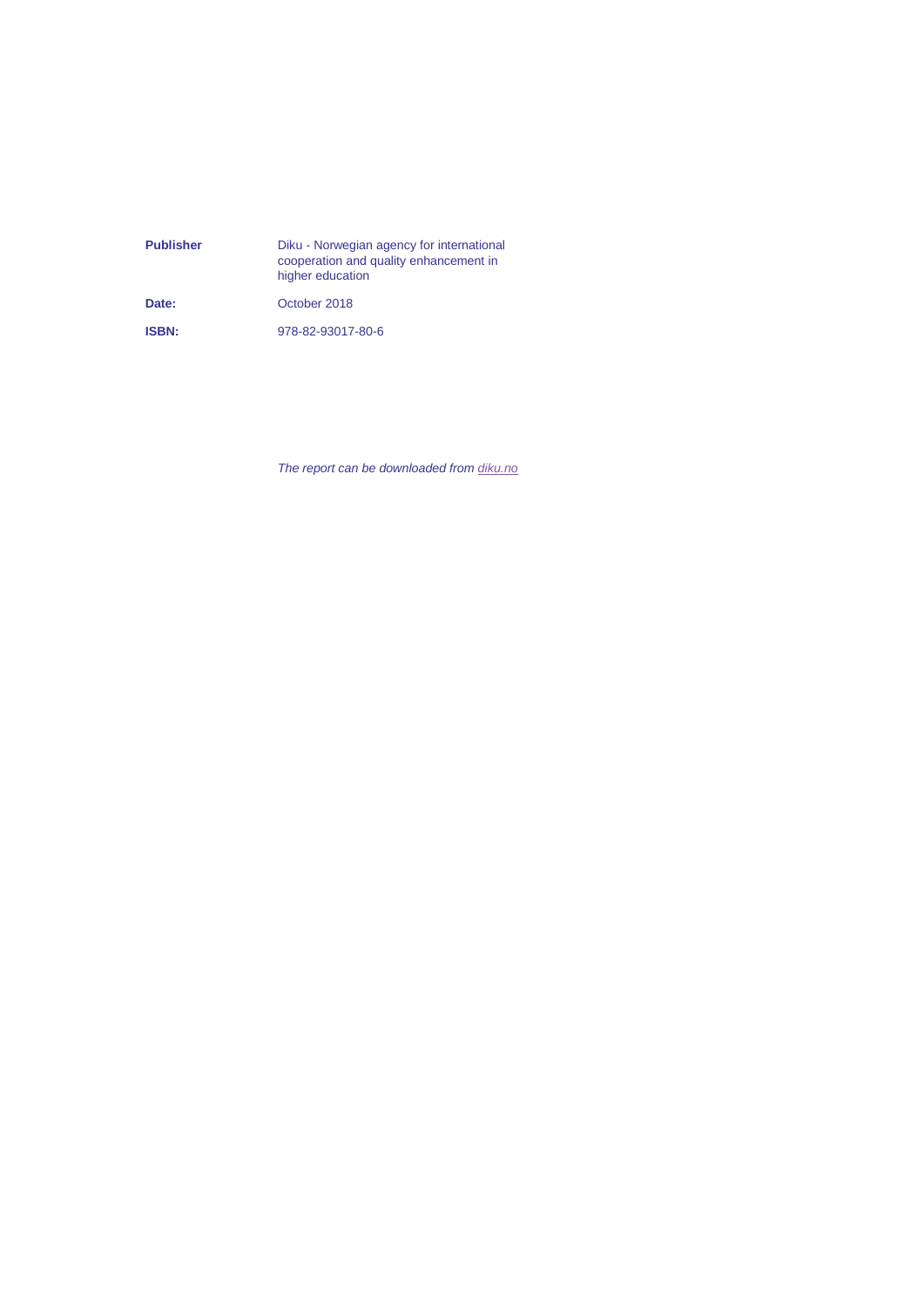| <b>Publisher</b> | Diku - Norwegian agency for international<br>cooperation and quality enhancement in<br>higher education |
|------------------|---------------------------------------------------------------------------------------------------------|
| Date:            | October 2018                                                                                            |
| <b>ISBN:</b>     | 978-82-93017-80-6                                                                                       |

*The report can be downloaded from [diku.no](https://www.diku.no/)*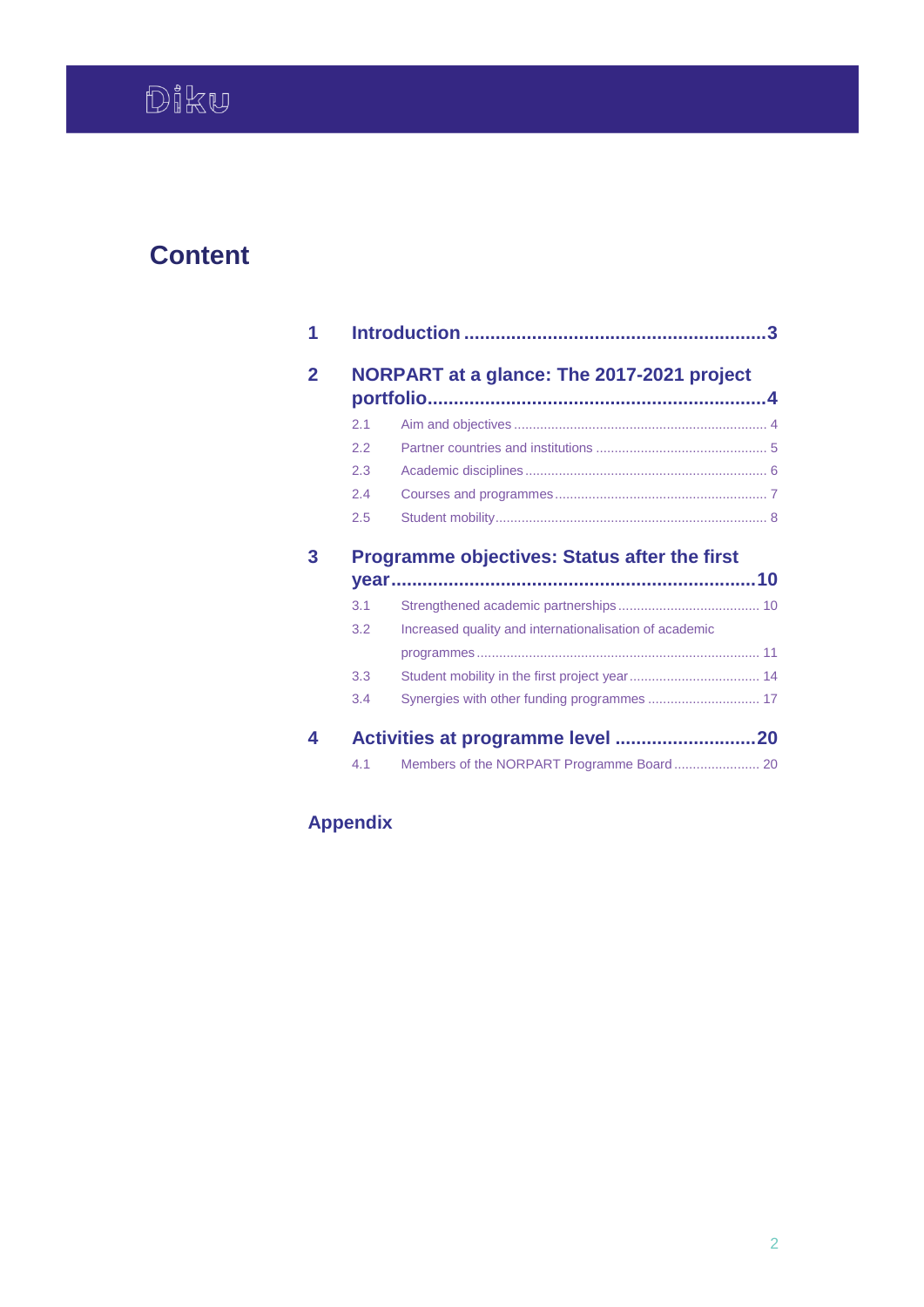# **Content**

| 2.1        |                                                        |
|------------|--------------------------------------------------------|
| 2.2        |                                                        |
| 2.3        |                                                        |
| 2.4        |                                                        |
|            |                                                        |
| 2.5        | <b>Programme objectives: Status after the first</b>    |
|            |                                                        |
|            |                                                        |
| 3.1<br>3.2 | Increased quality and internationalisation of academic |
| 3.3        |                                                        |

# **Appendix**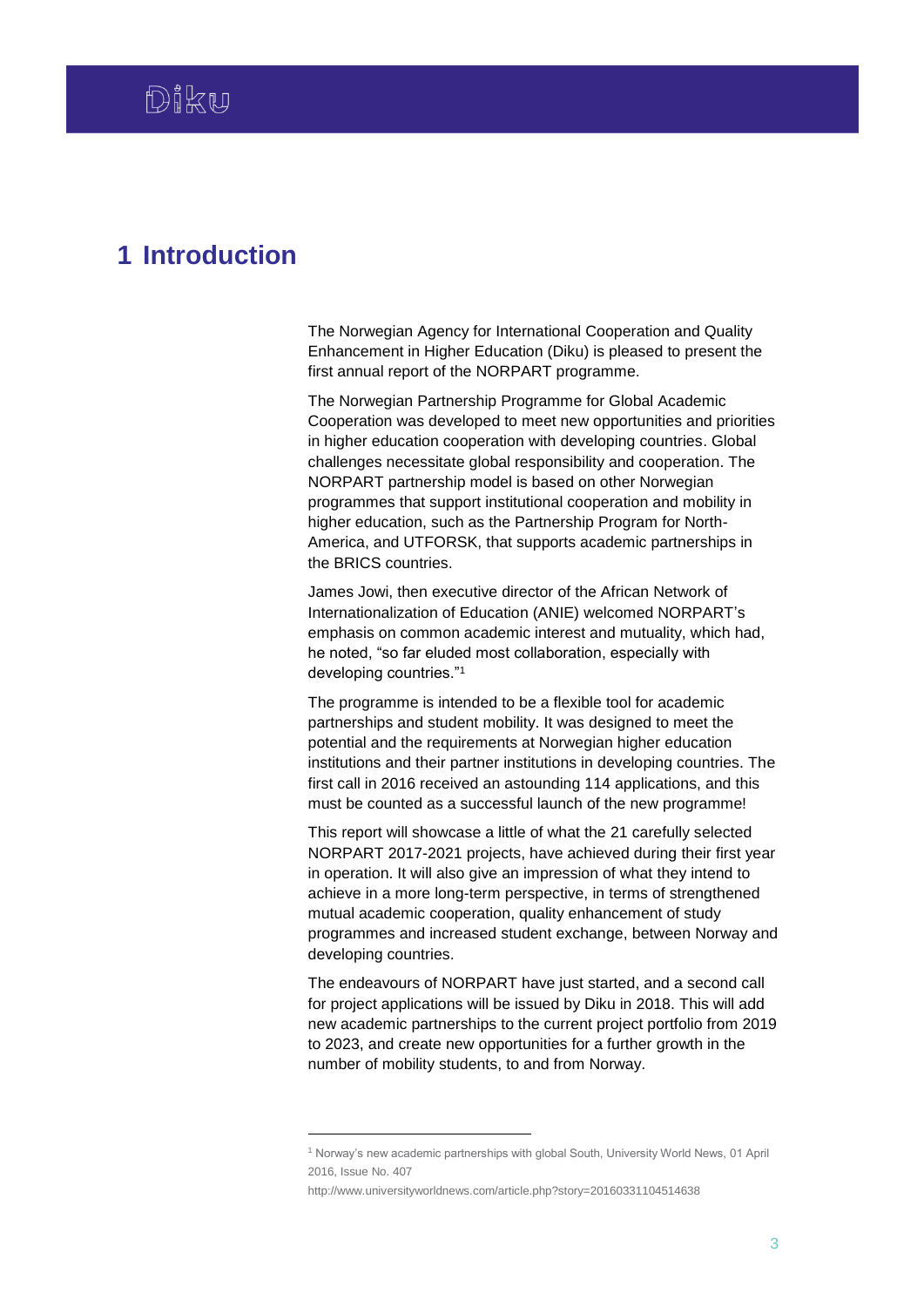# <span id="page-3-0"></span>**1 Introduction**

The Norwegian Agency for International Cooperation and Quality Enhancement in Higher Education (Diku) is pleased to present the first annual report of the NORPART programme.

The Norwegian Partnership Programme for Global Academic Cooperation was developed to meet new opportunities and priorities in higher education cooperation with developing countries. Global challenges necessitate global responsibility and cooperation. The NORPART partnership model is based on other Norwegian programmes that support institutional cooperation and mobility in higher education, such as the Partnership Program for North-America, and UTFORSK, that supports academic partnerships in the BRICS countries.

James Jowi, then executive director of the African Network of Internationalization of Education (ANIE) welcomed NORPART's emphasis on common academic interest and mutuality, which had, he noted, "so far eluded most collaboration, especially with developing countries."<sup>1</sup>

The programme is intended to be a flexible tool for academic partnerships and student mobility. It was designed to meet the potential and the requirements at Norwegian higher education institutions and their partner institutions in developing countries. The first call in 2016 received an astounding 114 applications, and this must be counted as a successful launch of the new programme!

This report will showcase a little of what the 21 carefully selected NORPART 2017-2021 projects, have achieved during their first year in operation. It will also give an impression of what they intend to achieve in a more long-term perspective, in terms of strengthened mutual academic cooperation, quality enhancement of study programmes and increased student exchange, between Norway and developing countries.

The endeavours of NORPART have just started, and a second call for project applications will be issued by Diku in 2018. This will add new academic partnerships to the current project portfolio from 2019 to 2023, and create new opportunities for a further growth in the number of mobility students, to and from Norway.

1

<sup>1</sup> Norway's new academic partnerships with global South, University World News, 01 April 2016, Issue No. 407

http://www.universityworldnews.com/article.php?story=20160331104514638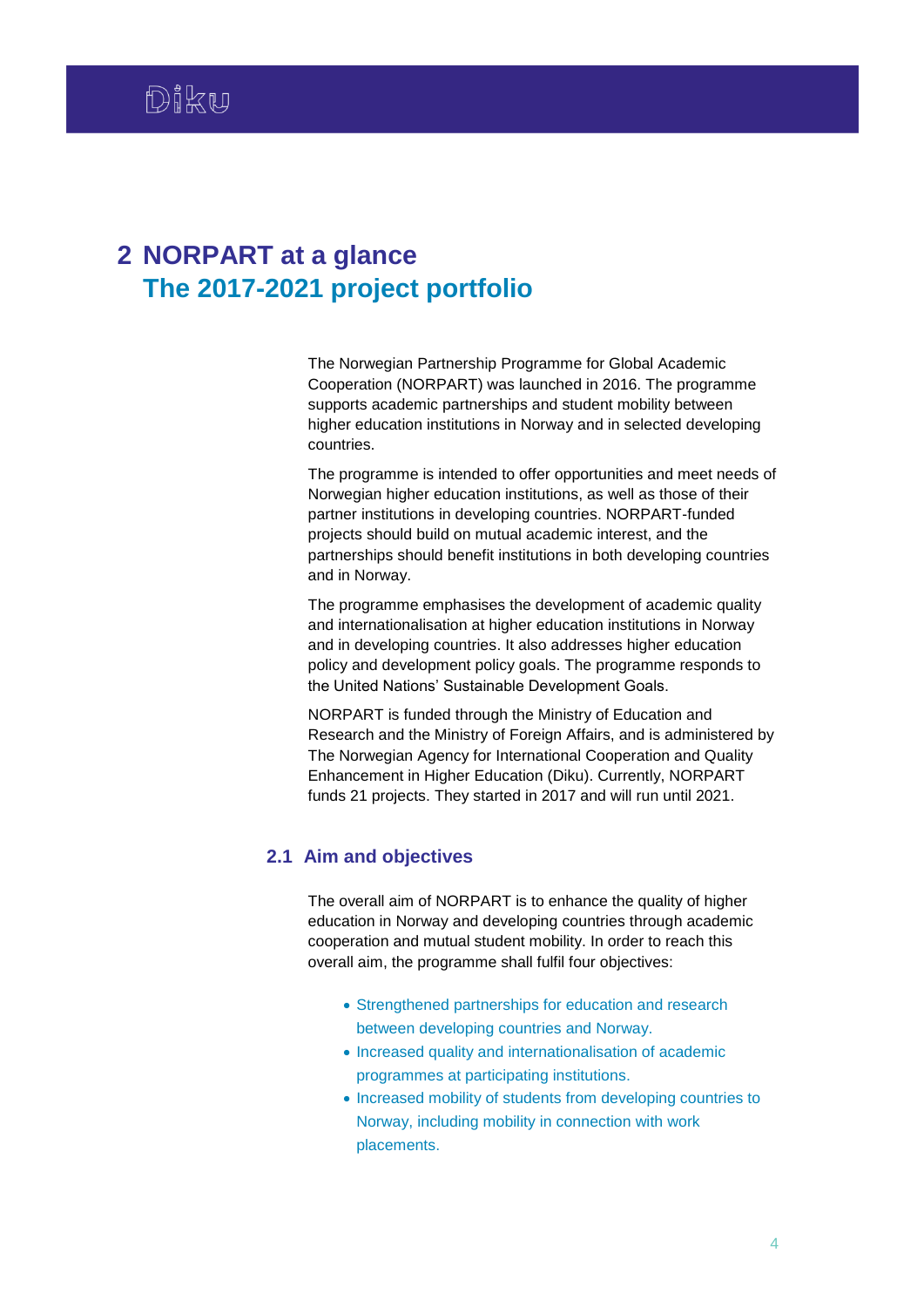# <span id="page-4-0"></span>**2 NORPART at a glance The 2017-2021 project portfolio**

The Norwegian Partnership Programme for Global Academic Cooperation (NORPART) was launched in 2016. The programme supports academic partnerships and student mobility between higher education institutions in Norway and in selected developing countries.

The programme is intended to offer opportunities and meet needs of Norwegian higher education institutions, as well as those of their partner institutions in developing countries. NORPART-funded projects should build on mutual academic interest, and the partnerships should benefit institutions in both developing countries and in Norway.

The programme emphasises the development of academic quality and internationalisation at higher education institutions in Norway and in developing countries. It also addresses higher education policy and development policy goals. The programme responds to the United Nations' Sustainable Development Goals.

NORPART is funded through the Ministry of Education and Research and the Ministry of Foreign Affairs, and is administered by The Norwegian Agency for International Cooperation and Quality Enhancement in Higher Education (Diku). Currently, NORPART funds 21 projects. They started in 2017 and will run until 2021.

# <span id="page-4-1"></span>**2.1 Aim and objectives**

The overall aim of NORPART is to enhance the quality of higher education in Norway and developing countries through academic cooperation and mutual student mobility. In order to reach this overall aim, the programme shall fulfil four objectives:

- Strengthened partnerships for education and research between developing countries and Norway.
- Increased quality and internationalisation of academic programmes at participating institutions.
- Increased mobility of students from developing countries to Norway, including mobility in connection with work placements.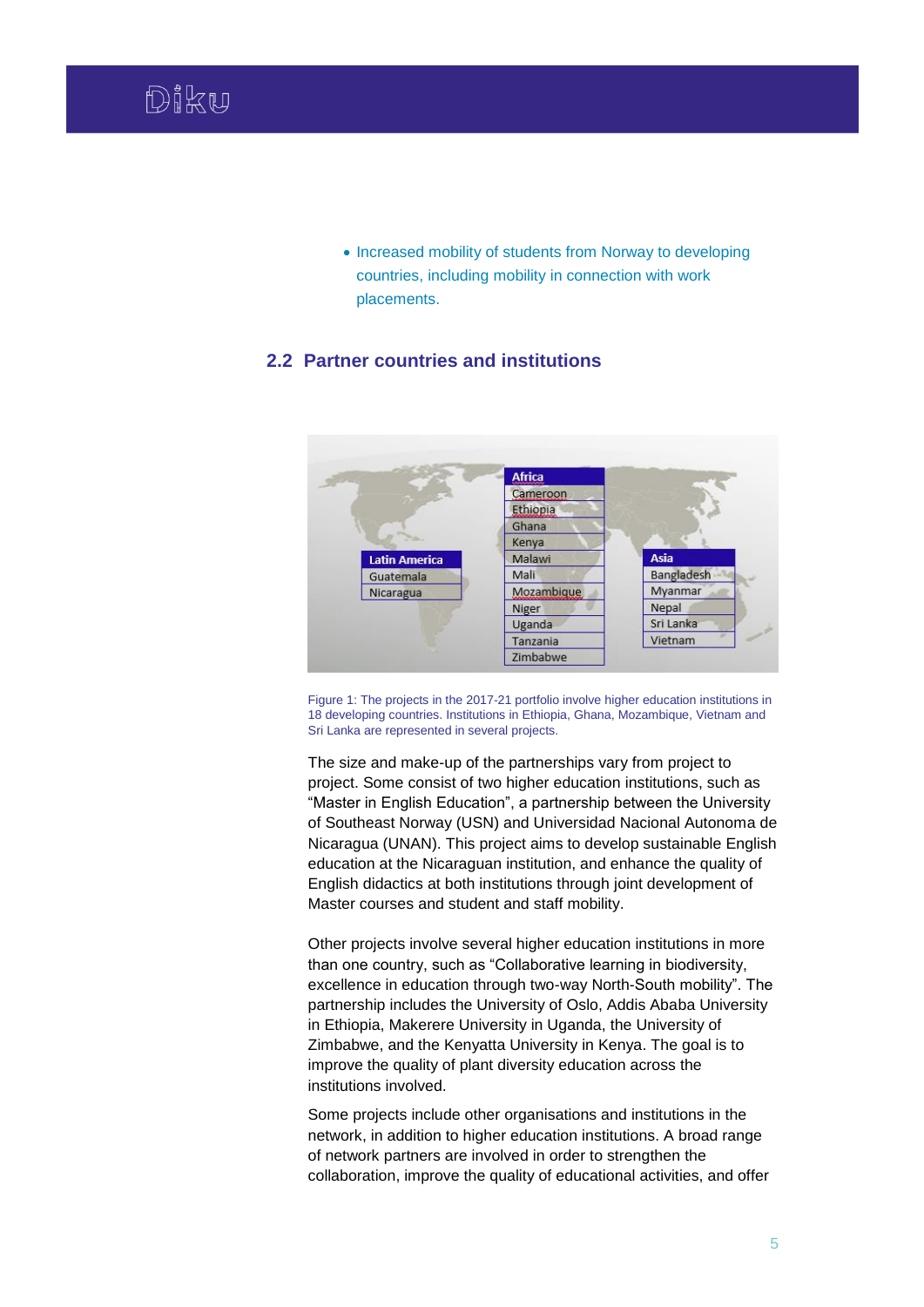• Increased mobility of students from Norway to developing countries, including mobility in connection with work placements.

# <span id="page-5-0"></span>**2.2 Partner countries and institutions**



Figure 1: The projects in the 2017-21 portfolio involve higher education institutions in 18 developing countries. Institutions in Ethiopia, Ghana, Mozambique, Vietnam and Sri Lanka are represented in several projects.

The size and make-up of the partnerships vary from project to project. Some consist of two higher education institutions, such as "Master in English Education", a partnership between the University of Southeast Norway (USN) and Universidad Nacional Autonoma de Nicaragua (UNAN). This project aims to develop sustainable English education at the Nicaraguan institution, and enhance the quality of English didactics at both institutions through joint development of Master courses and student and staff mobility.

Other projects involve several higher education institutions in more than one country, such as "Collaborative learning in biodiversity, excellence in education through two-way North-South mobility". The partnership includes the University of Oslo, Addis Ababa University in Ethiopia, Makerere University in Uganda, the University of Zimbabwe, and the Kenyatta University in Kenya. The goal is to improve the quality of plant diversity education across the institutions involved.

Some projects include other organisations and institutions in the network, in addition to higher education institutions. A broad range of network partners are involved in order to strengthen the collaboration, improve the quality of educational activities, and offer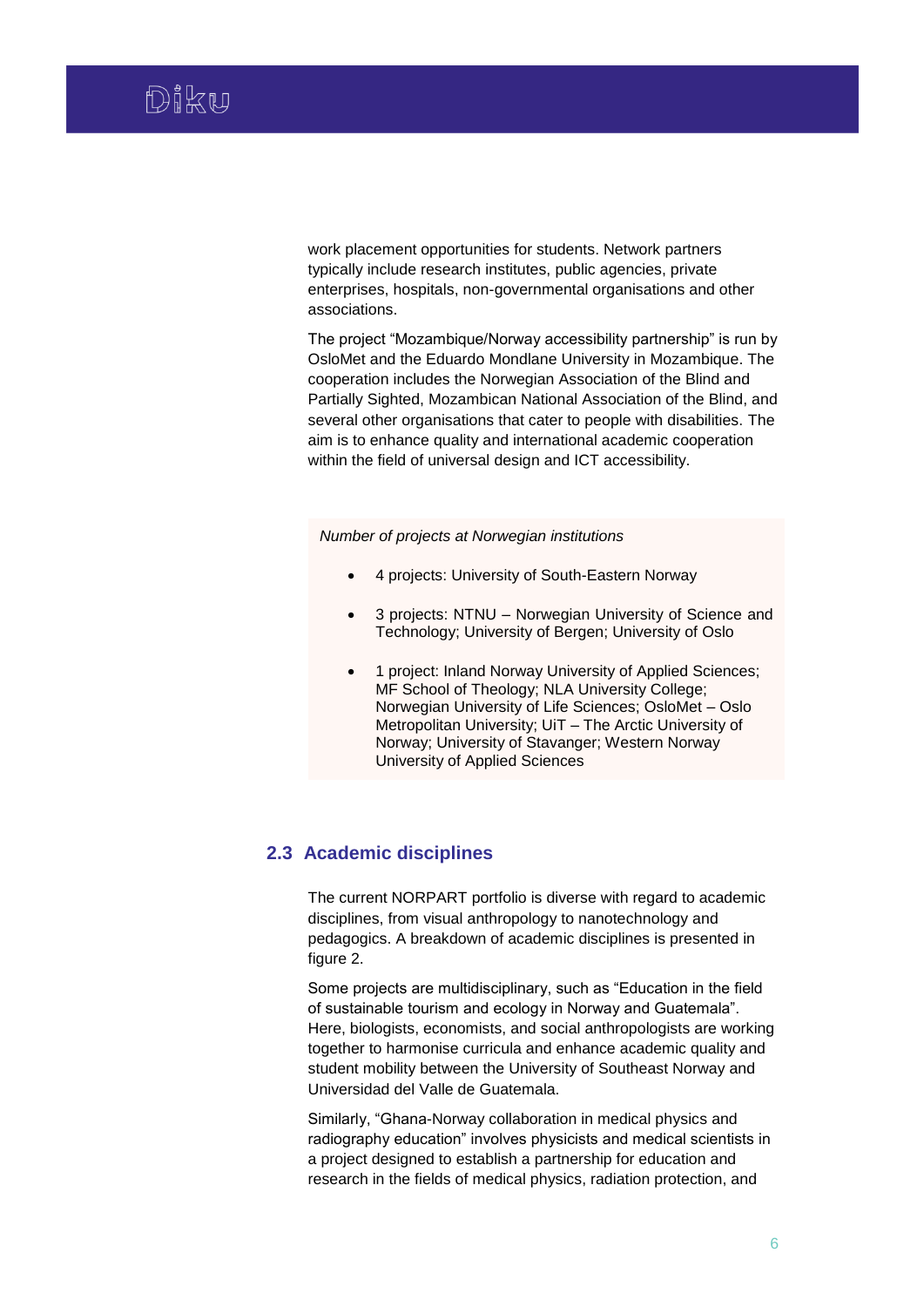work placement opportunities for students. Network partners typically include research institutes, public agencies, private enterprises, hospitals, non-governmental organisations and other associations.

The project "Mozambique/Norway accessibility partnership" is run by OsloMet and the Eduardo Mondlane University in Mozambique. The cooperation includes the Norwegian Association of the Blind and Partially Sighted, Mozambican National Association of the Blind, and several other organisations that cater to people with disabilities. The aim is to enhance quality and international academic cooperation within the field of universal design and ICT accessibility.

*Number of projects at Norwegian institutions*

- 4 projects: University of South-Eastern Norway
- 3 projects: NTNU Norwegian University of Science and Technology; University of Bergen; University of Oslo
- 1 project: Inland Norway University of Applied Sciences; MF School of Theology; NLA University College; Norwegian University of Life Sciences; OsloMet – Oslo Metropolitan University; UiT – The Arctic University of Norway; University of Stavanger; Western Norway University of Applied Sciences

# <span id="page-6-0"></span>**2.3 Academic disciplines**

The current NORPART portfolio is diverse with regard to academic disciplines, from visual anthropology to nanotechnology and pedagogics. A breakdown of academic disciplines is presented in figure 2.

Some projects are multidisciplinary, such as "Education in the field of sustainable tourism and ecology in Norway and Guatemala". Here, biologists, economists, and social anthropologists are working together to harmonise curricula and enhance academic quality and student mobility between the University of Southeast Norway and Universidad del Valle de Guatemala.

Similarly, "Ghana-Norway collaboration in medical physics and radiography education" involves physicists and medical scientists in a project designed to establish a partnership for education and research in the fields of medical physics, radiation protection, and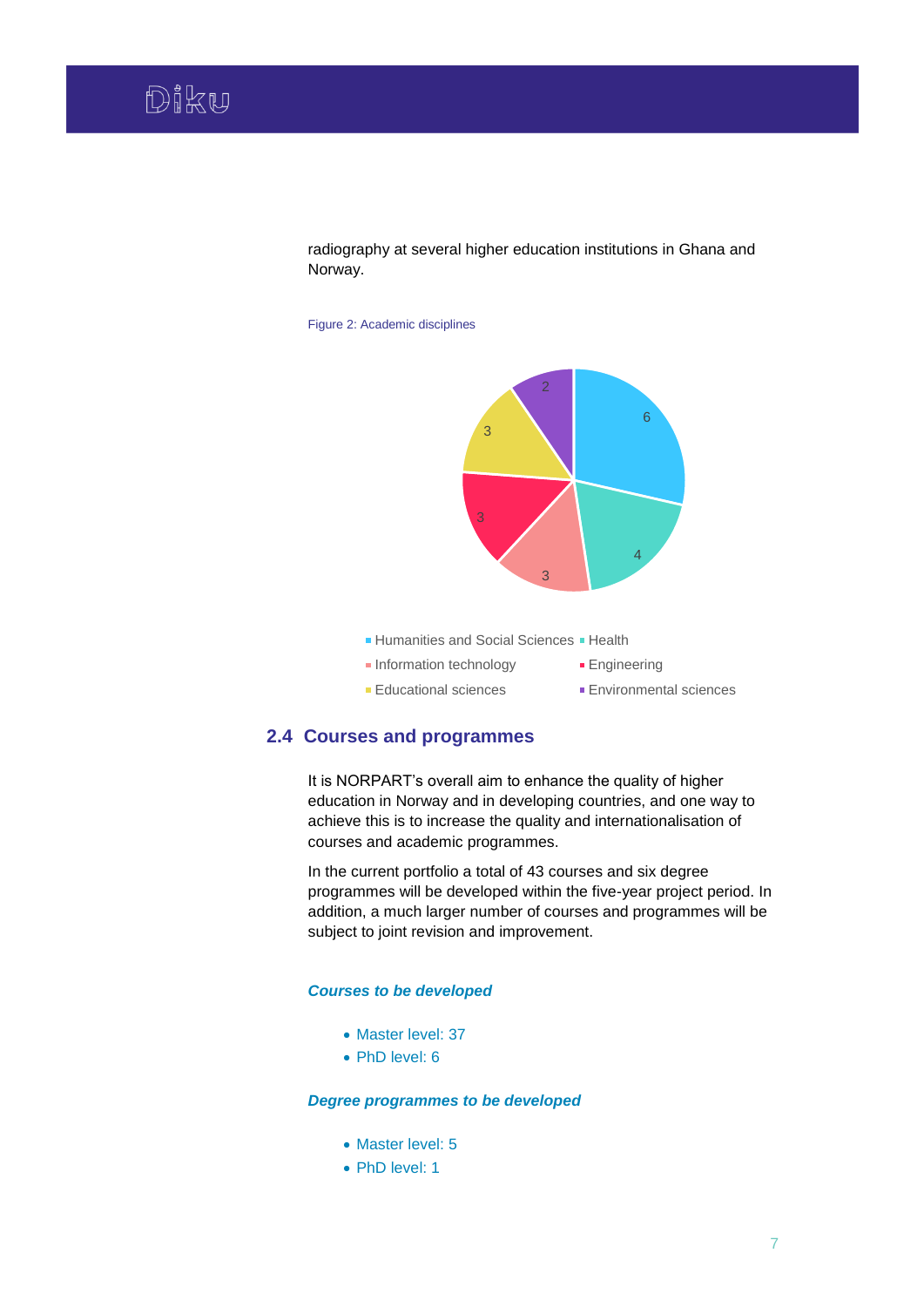radiography at several higher education institutions in Ghana and Norway.

Figure 2: Academic disciplines



- **Humanities and Social Sciences Health**
- **Information technology Engineering** Educational sciences Environmental sciences

## <span id="page-7-0"></span>**2.4 Courses and programmes**

It is NORPART's overall aim to enhance the quality of higher education in Norway and in developing countries, and one way to achieve this is to increase the quality and internationalisation of courses and academic programmes.

In the current portfolio a total of 43 courses and six degree programmes will be developed within the five-year project period. In addition, a much larger number of courses and programmes will be subject to joint revision and improvement.

### *Courses to be developed*

- Master level: 37
- PhD level: 6

### *Degree programmes to be developed*

- Master level: 5
- PhD level: 1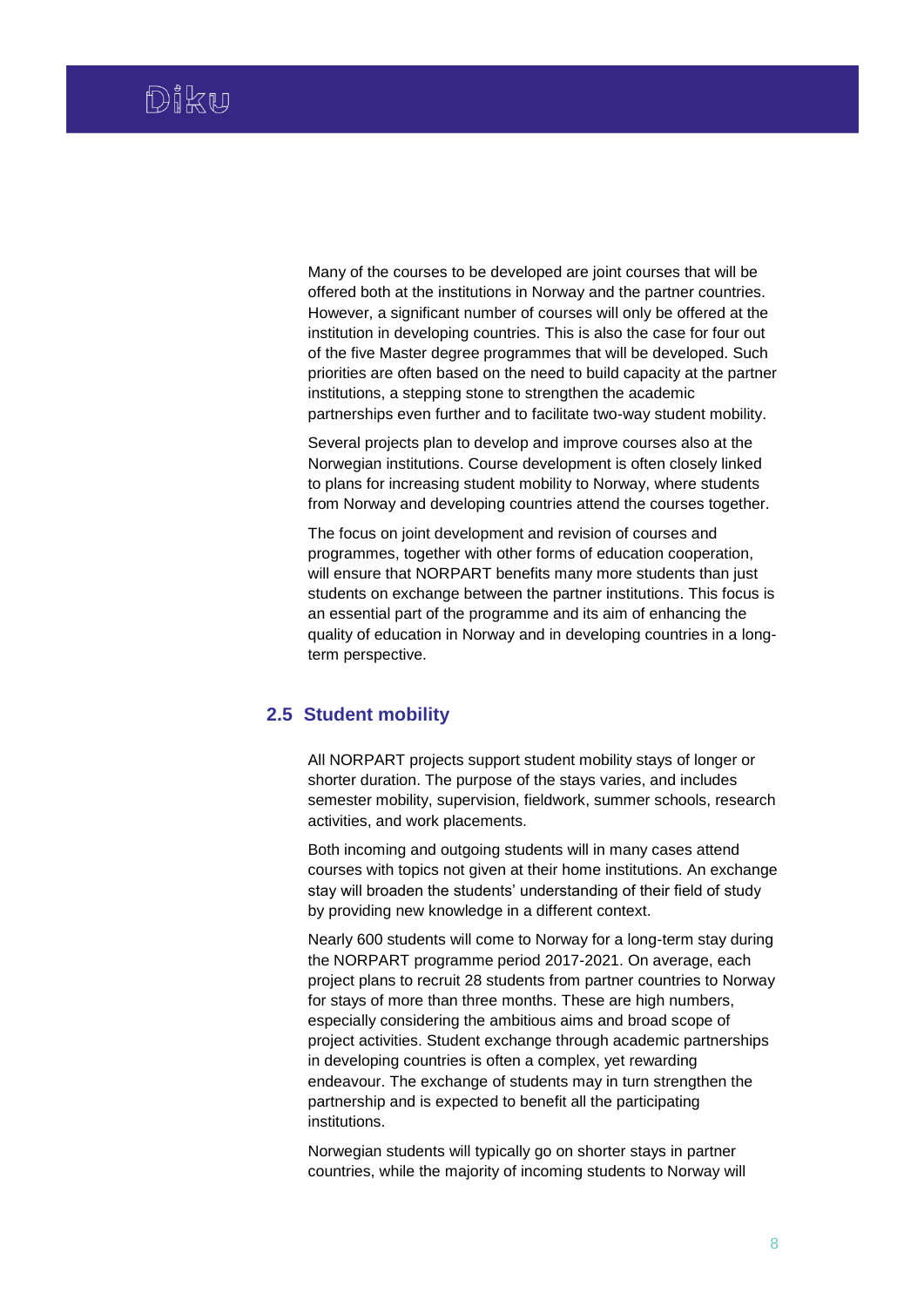Many of the courses to be developed are joint courses that will be offered both at the institutions in Norway and the partner countries. However, a significant number of courses will only be offered at the institution in developing countries. This is also the case for four out of the five Master degree programmes that will be developed. Such priorities are often based on the need to build capacity at the partner institutions, a stepping stone to strengthen the academic partnerships even further and to facilitate two-way student mobility.

Several projects plan to develop and improve courses also at the Norwegian institutions. Course development is often closely linked to plans for increasing student mobility to Norway, where students from Norway and developing countries attend the courses together.

The focus on joint development and revision of courses and programmes, together with other forms of education cooperation, will ensure that NORPART benefits many more students than just students on exchange between the partner institutions. This focus is an essential part of the programme and its aim of enhancing the quality of education in Norway and in developing countries in a longterm perspective.

# <span id="page-8-0"></span>**2.5 Student mobility**

All NORPART projects support student mobility stays of longer or shorter duration. The purpose of the stays varies, and includes semester mobility, supervision, fieldwork, summer schools, research activities, and work placements.

Both incoming and outgoing students will in many cases attend courses with topics not given at their home institutions. An exchange stay will broaden the students' understanding of their field of study by providing new knowledge in a different context.

Nearly 600 students will come to Norway for a long-term stay during the NORPART programme period 2017-2021. On average, each project plans to recruit 28 students from partner countries to Norway for stays of more than three months. These are high numbers, especially considering the ambitious aims and broad scope of project activities. Student exchange through academic partnerships in developing countries is often a complex, yet rewarding endeavour. The exchange of students may in turn strengthen the partnership and is expected to benefit all the participating institutions.

Norwegian students will typically go on shorter stays in partner countries, while the majority of incoming students to Norway will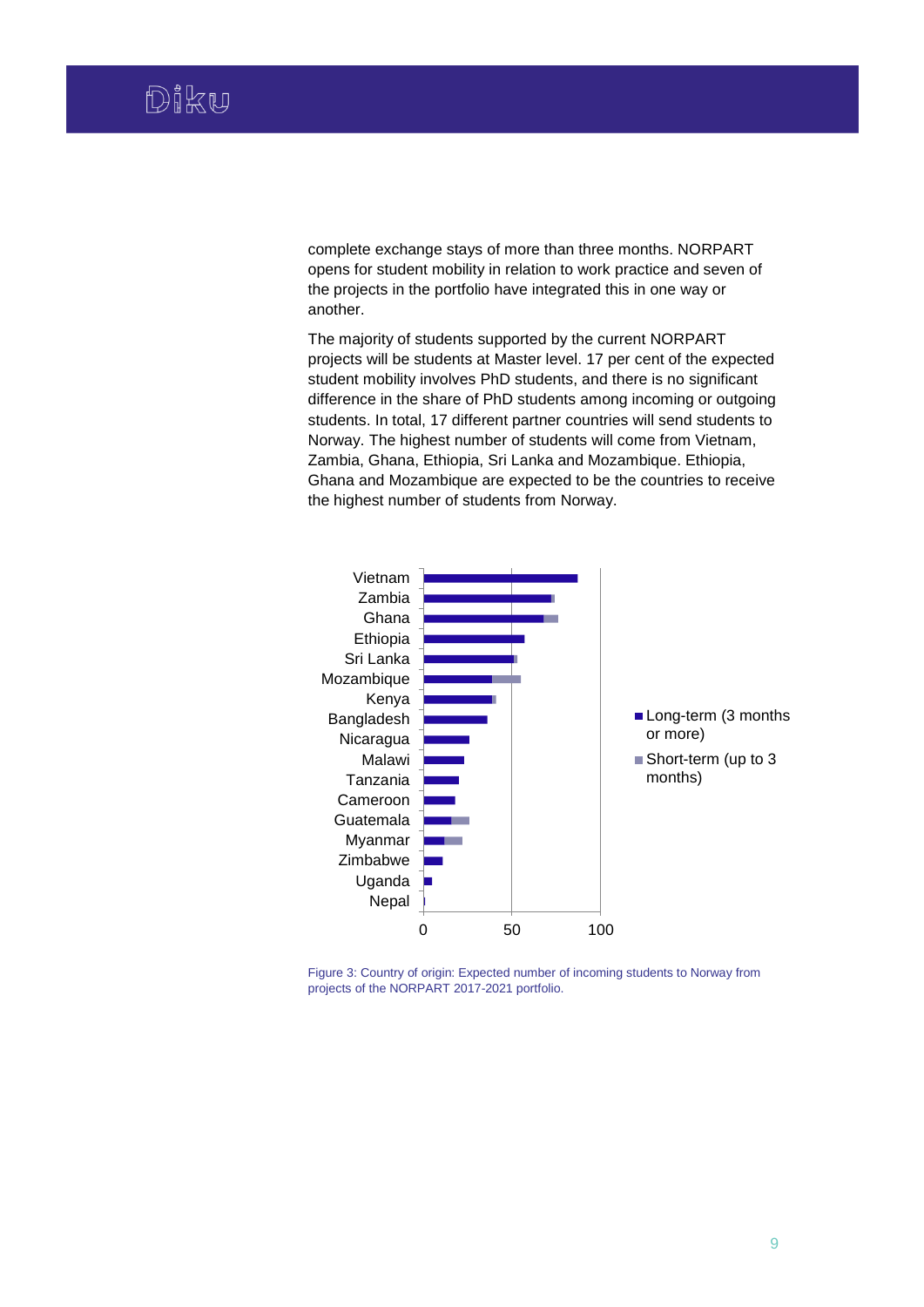complete exchange stays of more than three months. NORPART opens for student mobility in relation to work practice and seven of the projects in the portfolio have integrated this in one way or another.

The majority of students supported by the current NORPART projects will be students at Master level. 17 per cent of the expected student mobility involves PhD students, and there is no significant difference in the share of PhD students among incoming or outgoing students. In total, 17 different partner countries will send students to Norway. The highest number of students will come from Vietnam, Zambia, Ghana, Ethiopia, Sri Lanka and Mozambique. Ethiopia, Ghana and Mozambique are expected to be the countries to receive the highest number of students from Norway.



Figure 3: Country of origin: Expected number of incoming students to Norway from projects of the NORPART 2017-2021 portfolio.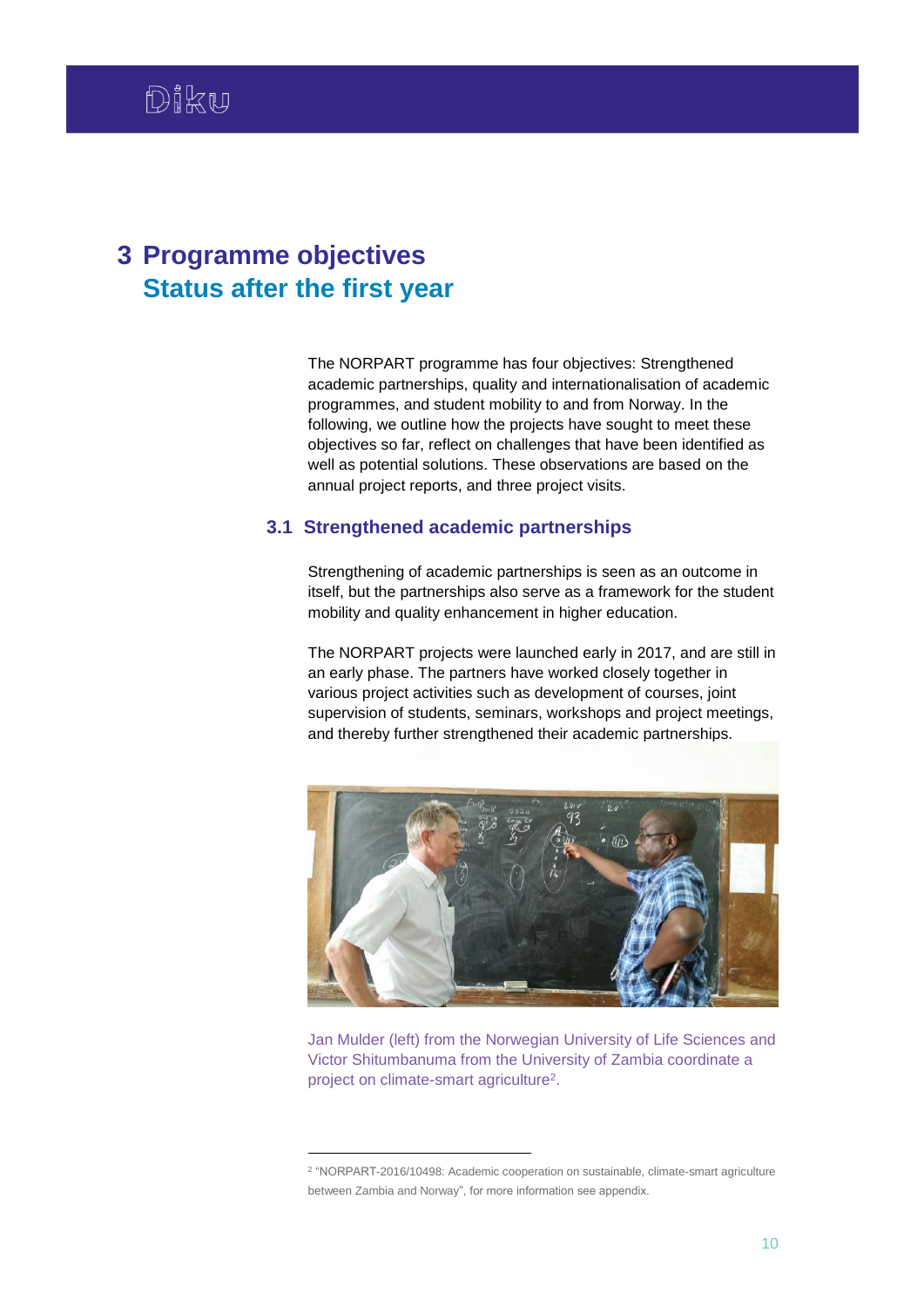# <span id="page-10-0"></span>**3 Programme objectives Status after the first year**

1

The NORPART programme has four objectives: Strengthened academic partnerships, quality and internationalisation of academic programmes, and student mobility to and from Norway. In the following, we outline how the projects have sought to meet these objectives so far, reflect on challenges that have been identified as well as potential solutions. These observations are based on the annual project reports, and three project visits.

### <span id="page-10-1"></span>**3.1 Strengthened academic partnerships**

Strengthening of academic partnerships is seen as an outcome in itself, but the partnerships also serve as a framework for the student mobility and quality enhancement in higher education.

The NORPART projects were launched early in 2017, and are still in an early phase. The partners have worked closely together in various project activities such as development of courses, joint supervision of students, seminars, workshops and project meetings, and thereby further strengthened their academic partnerships.



Jan Mulder (left) from the Norwegian University of Life Sciences and Victor Shitumbanuma from the University of Zambia coordinate a project on climate-smart agriculture<sup>2</sup>.

<sup>2</sup> "NORPART-2016/10498: Academic cooperation on sustainable, climate-smart agriculture between Zambia and Norway", for more information see appendix.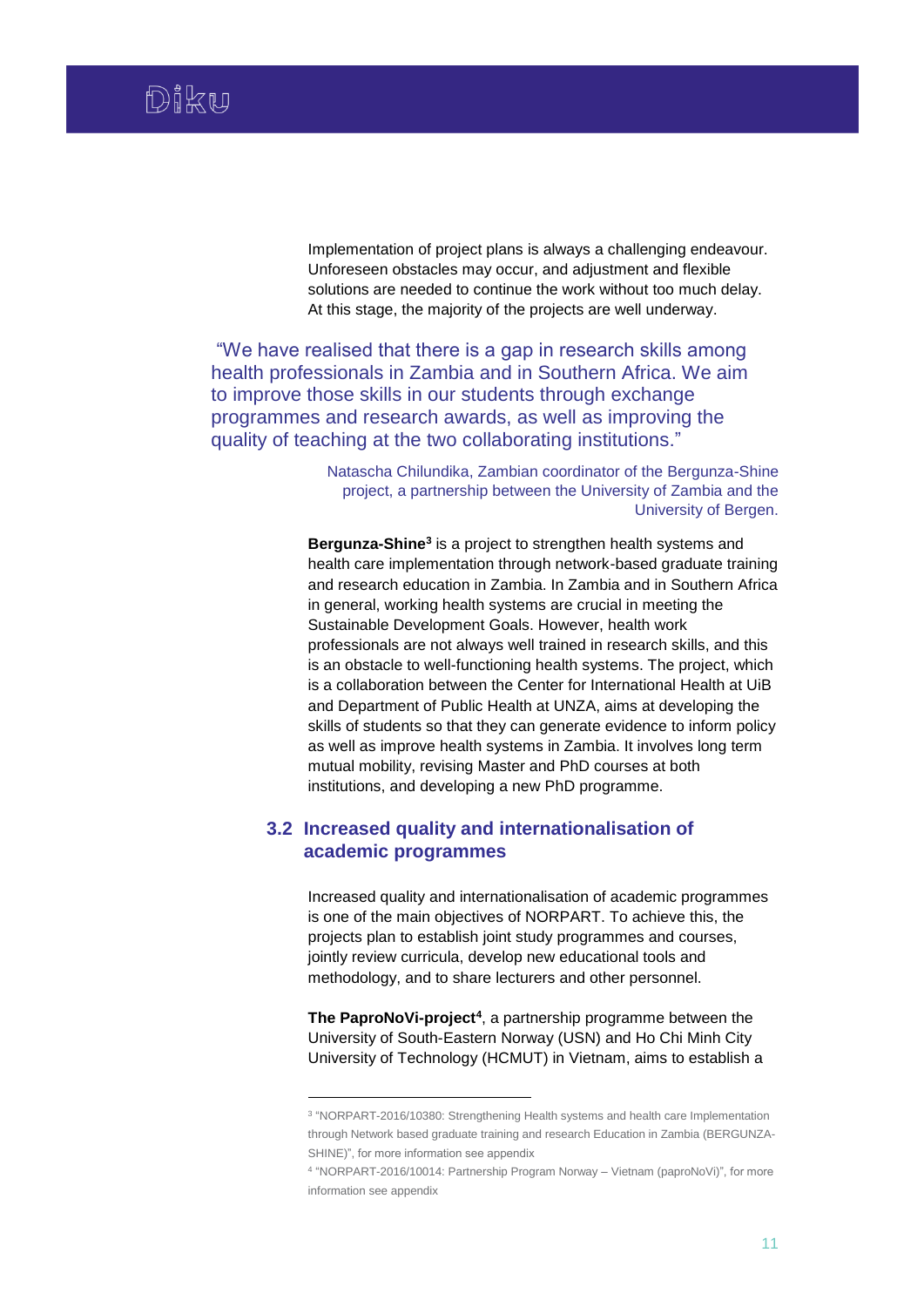Implementation of project plans is always a challenging endeavour. Unforeseen obstacles may occur, and adjustment and flexible solutions are needed to continue the work without too much delay. At this stage, the majority of the projects are well underway.

"We have realised that there is a gap in research skills among health professionals in Zambia and in Southern Africa. We aim to improve those skills in our students through exchange programmes and research awards, as well as improving the quality of teaching at the two collaborating institutions."

> Natascha Chilundika, Zambian coordinator of the Bergunza-Shine project, a partnership between the University of Zambia and the University of Bergen.

**Bergunza-Shine<sup>3</sup>** is a project to strengthen health systems and health care implementation through network-based graduate training and research education in Zambia. In Zambia and in Southern Africa in general, working health systems are crucial in meeting the Sustainable Development Goals. However, health work professionals are not always well trained in research skills, and this is an obstacle to well-functioning health systems. The project, which is a collaboration between the Center for International Health at UiB and Department of Public Health at UNZA, aims at developing the skills of students so that they can generate evidence to inform policy as well as improve health systems in Zambia. It involves long term mutual mobility, revising Master and PhD courses at both institutions, and developing a new PhD programme.

# <span id="page-11-0"></span>**3.2 Increased quality and internationalisation of academic programmes**

1

Increased quality and internationalisation of academic programmes is one of the main objectives of NORPART. To achieve this, the projects plan to establish joint study programmes and courses, jointly review curricula, develop new educational tools and methodology, and to share lecturers and other personnel.

**The PaproNoVi-project<sup>4</sup>** , a partnership programme between the University of South-Eastern Norway (USN) and Ho Chi Minh City University of Technology (HCMUT) in Vietnam, aims to establish a

<sup>3</sup> "NORPART-2016/10380: Strengthening Health systems and health care Implementation through Network based graduate training and research Education in Zambia (BERGUNZA-SHINE)", for more information see appendix

<sup>4</sup> "NORPART-2016/10014: Partnership Program Norway – Vietnam (paproNoVi)", for more information see appendix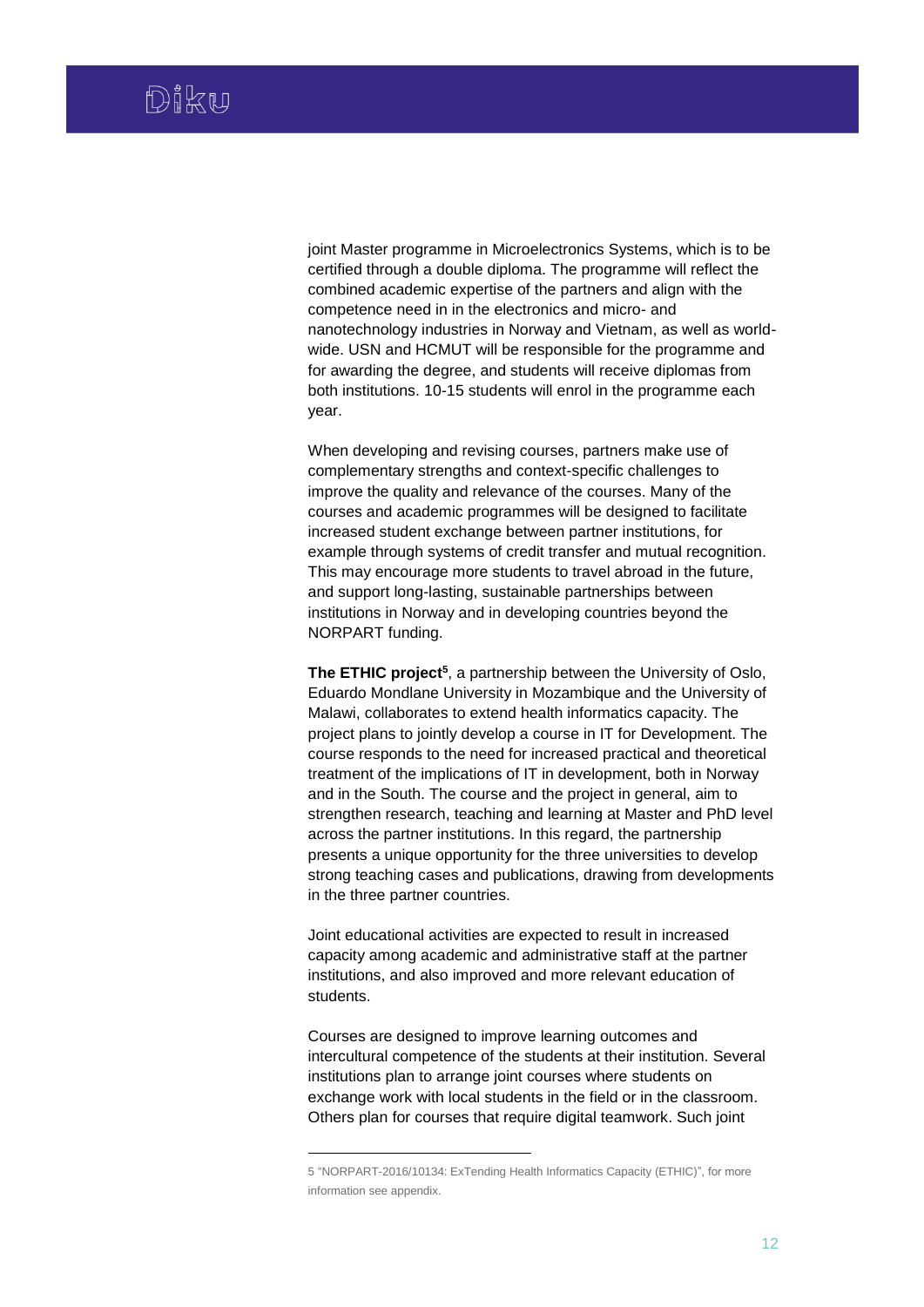joint Master programme in Microelectronics Systems, which is to be certified through a double diploma. The programme will reflect the combined academic expertise of the partners and align with the competence need in in the electronics and micro- and nanotechnology industries in Norway and Vietnam, as well as worldwide. USN and HCMUT will be responsible for the programme and for awarding the degree, and students will receive diplomas from both institutions. 10-15 students will enrol in the programme each year.

When developing and revising courses, partners make use of complementary strengths and context-specific challenges to improve the quality and relevance of the courses. Many of the courses and academic programmes will be designed to facilitate increased student exchange between partner institutions, for example through systems of credit transfer and mutual recognition. This may encourage more students to travel abroad in the future, and support long-lasting, sustainable partnerships between institutions in Norway and in developing countries beyond the NORPART funding.

The ETHIC project<sup>5</sup>, a partnership between the University of Oslo, Eduardo Mondlane University in Mozambique and the University of Malawi, collaborates to extend health informatics capacity. The project plans to jointly develop a course in IT for Development. The course responds to the need for increased practical and theoretical treatment of the implications of IT in development, both in Norway and in the South. The course and the project in general, aim to strengthen research, teaching and learning at Master and PhD level across the partner institutions. In this regard, the partnership presents a unique opportunity for the three universities to develop strong teaching cases and publications, drawing from developments in the three partner countries.

Joint educational activities are expected to result in increased capacity among academic and administrative staff at the partner institutions, and also improved and more relevant education of students.

Courses are designed to improve learning outcomes and intercultural competence of the students at their institution. Several institutions plan to arrange joint courses where students on exchange work with local students in the field or in the classroom. Others plan for courses that require digital teamwork. Such joint

1

<sup>5</sup> "NORPART-2016/10134: ExTending Health Informatics Capacity (ETHIC)", for more information see appendix.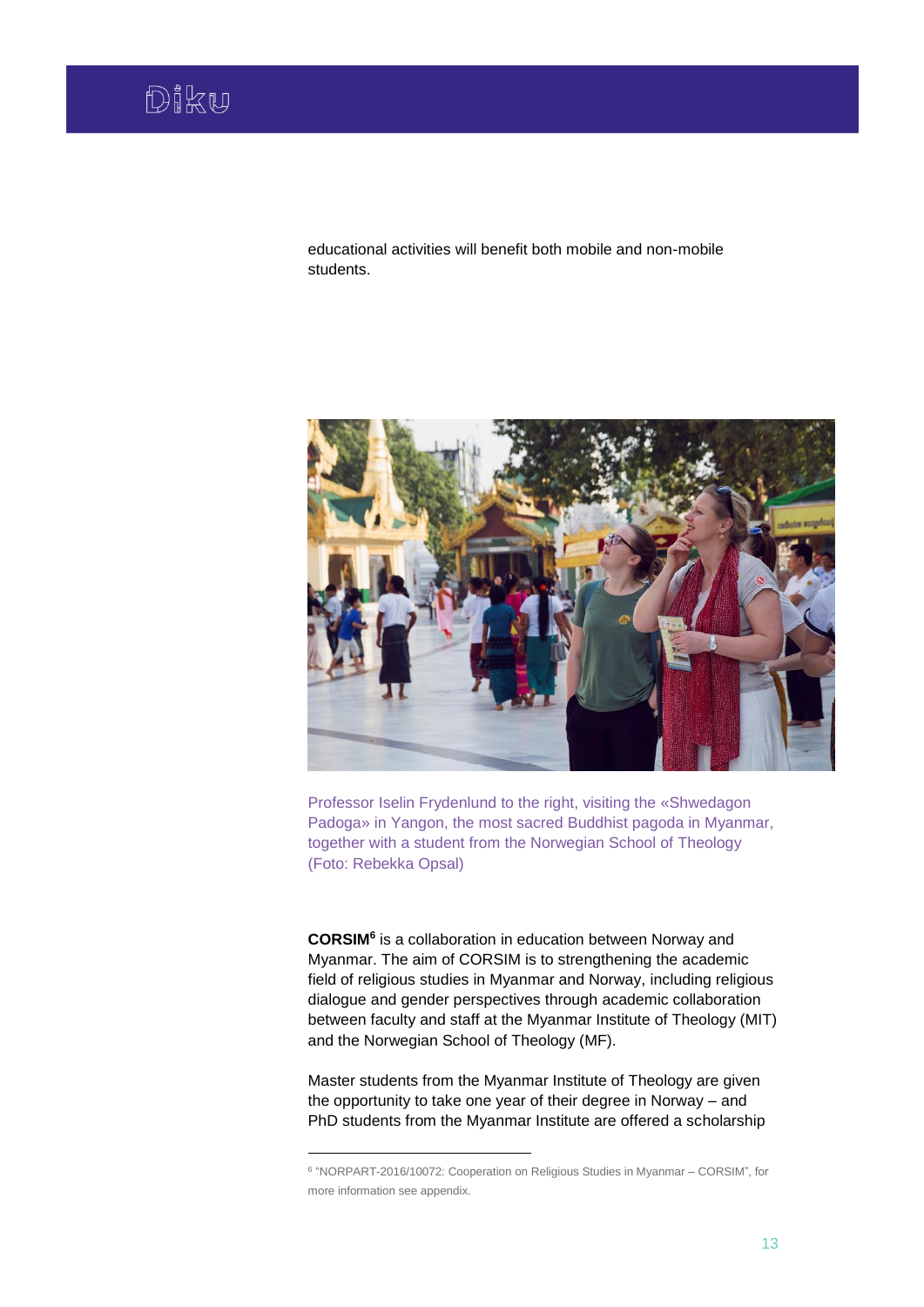educational activities will benefit both mobile and non-mobile students.



Professor Iselin Frydenlund to the right, visiting the «Shwedagon Padoga» in Yangon, the most sacred Buddhist pagoda in Myanmar, together with a student from the Norwegian School of Theology (Foto: Rebekka Opsal)

**CORSIM<sup>6</sup>** is a collaboration in education between Norway and Myanmar. The aim of CORSIM is to strengthening the academic field of religious studies in Myanmar and Norway, including religious dialogue and gender perspectives through academic collaboration between faculty and staff at the Myanmar Institute of Theology (MIT) and the Norwegian School of Theology (MF).

Master students from the Myanmar Institute of Theology are given the opportunity to take one year of their degree in Norway – and PhD students from the Myanmar Institute are offered a scholarship

1

<sup>6</sup> "NORPART-2016/10072: Cooperation on Religious Studies in Myanmar – CORSIM", for more information see appendix.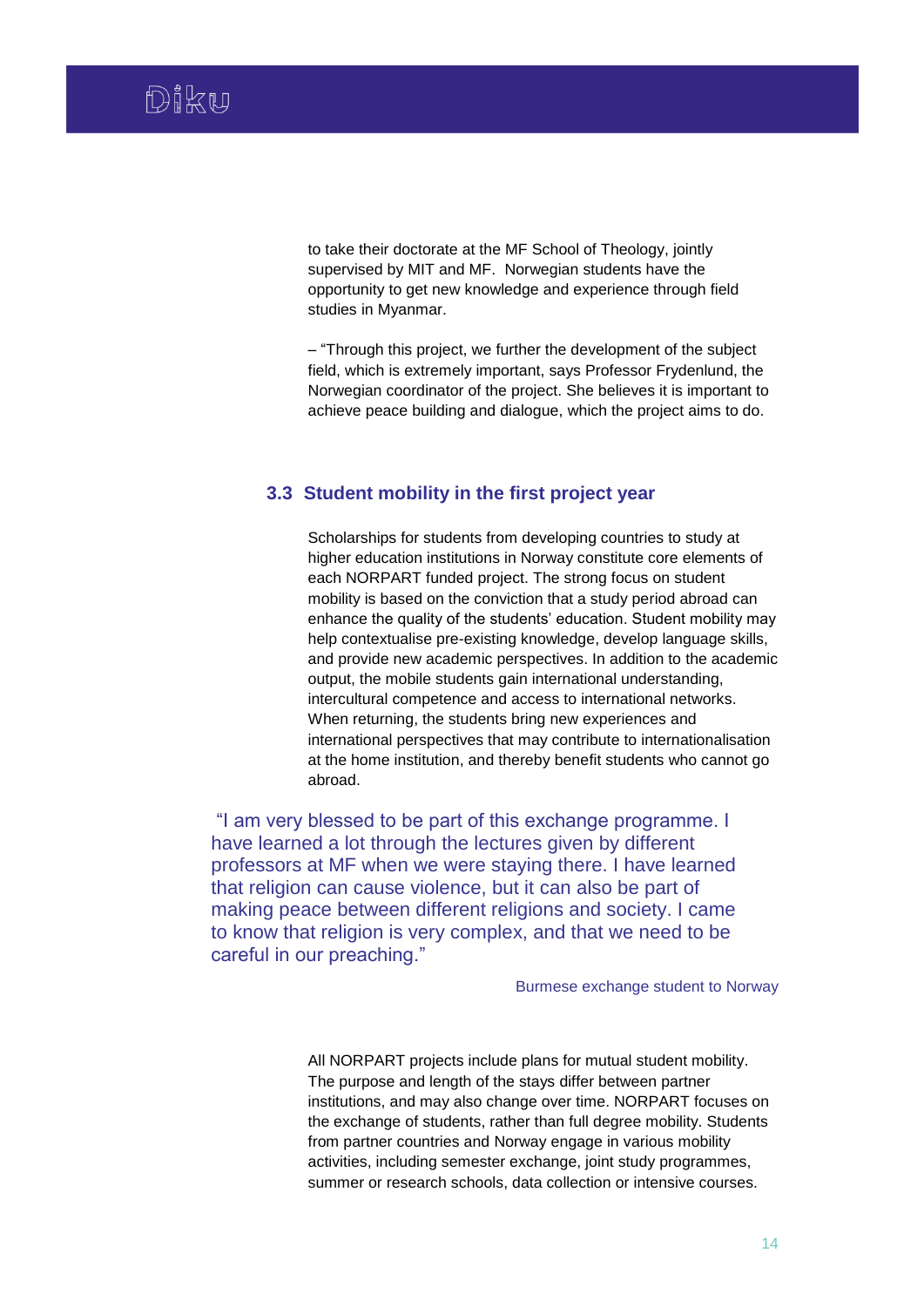to take their doctorate at the MF School of Theology, jointly supervised by MIT and MF. Norwegian students have the opportunity to get new knowledge and experience through field studies in Myanmar.

– "Through this project, we further the development of the subject field, which is extremely important, says Professor Frydenlund, the Norwegian coordinator of the project. She believes it is important to achieve peace building and dialogue, which the project aims to do.

# <span id="page-14-0"></span>**3.3 Student mobility in the first project year**

Scholarships for students from developing countries to study at higher education institutions in Norway constitute core elements of each NORPART funded project. The strong focus on student mobility is based on the conviction that a study period abroad can enhance the quality of the students' education. Student mobility may help contextualise pre-existing knowledge, develop language skills, and provide new academic perspectives. In addition to the academic output, the mobile students gain international understanding, intercultural competence and access to international networks. When returning, the students bring new experiences and international perspectives that may contribute to internationalisation at the home institution, and thereby benefit students who cannot go abroad.

"I am very blessed to be part of this exchange programme. I have learned a lot through the lectures given by different professors at MF when we were staying there. I have learned that religion can cause violence, but it can also be part of making peace between different religions and society. I came to know that religion is very complex, and that we need to be careful in our preaching."

Burmese exchange student to Norway

All NORPART projects include plans for mutual student mobility. The purpose and length of the stays differ between partner institutions, and may also change over time. NORPART focuses on the exchange of students, rather than full degree mobility. Students from partner countries and Norway engage in various mobility activities, including semester exchange, joint study programmes, summer or research schools, data collection or intensive courses.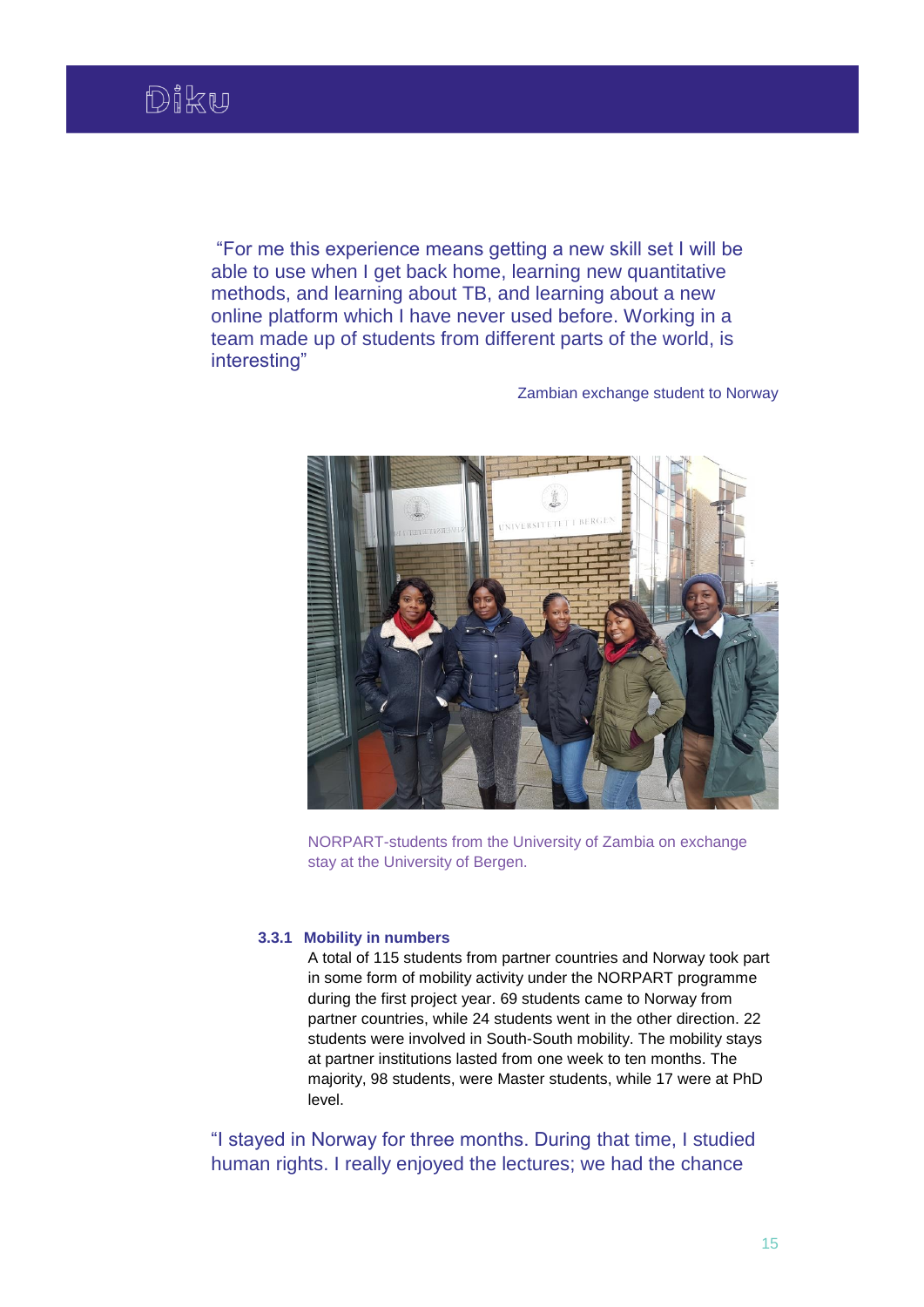"For me this experience means getting a new skill set I will be able to use when I get back home, learning new quantitative methods, and learning about TB, and learning about a new online platform which I have never used before. Working in a team made up of students from different parts of the world, is interesting"

Zambian exchange student to Norway



NORPART-students from the University of Zambia on exchange stay at the University of Bergen.

### **3.3.1 Mobility in numbers**

A total of 115 students from partner countries and Norway took part in some form of mobility activity under the NORPART programme during the first project year. 69 students came to Norway from partner countries, while 24 students went in the other direction. 22 students were involved in South-South mobility. The mobility stays at partner institutions lasted from one week to ten months. The majority, 98 students, were Master students, while 17 were at PhD level.

"I stayed in Norway for three months. During that time, I studied human rights. I really enjoyed the lectures; we had the chance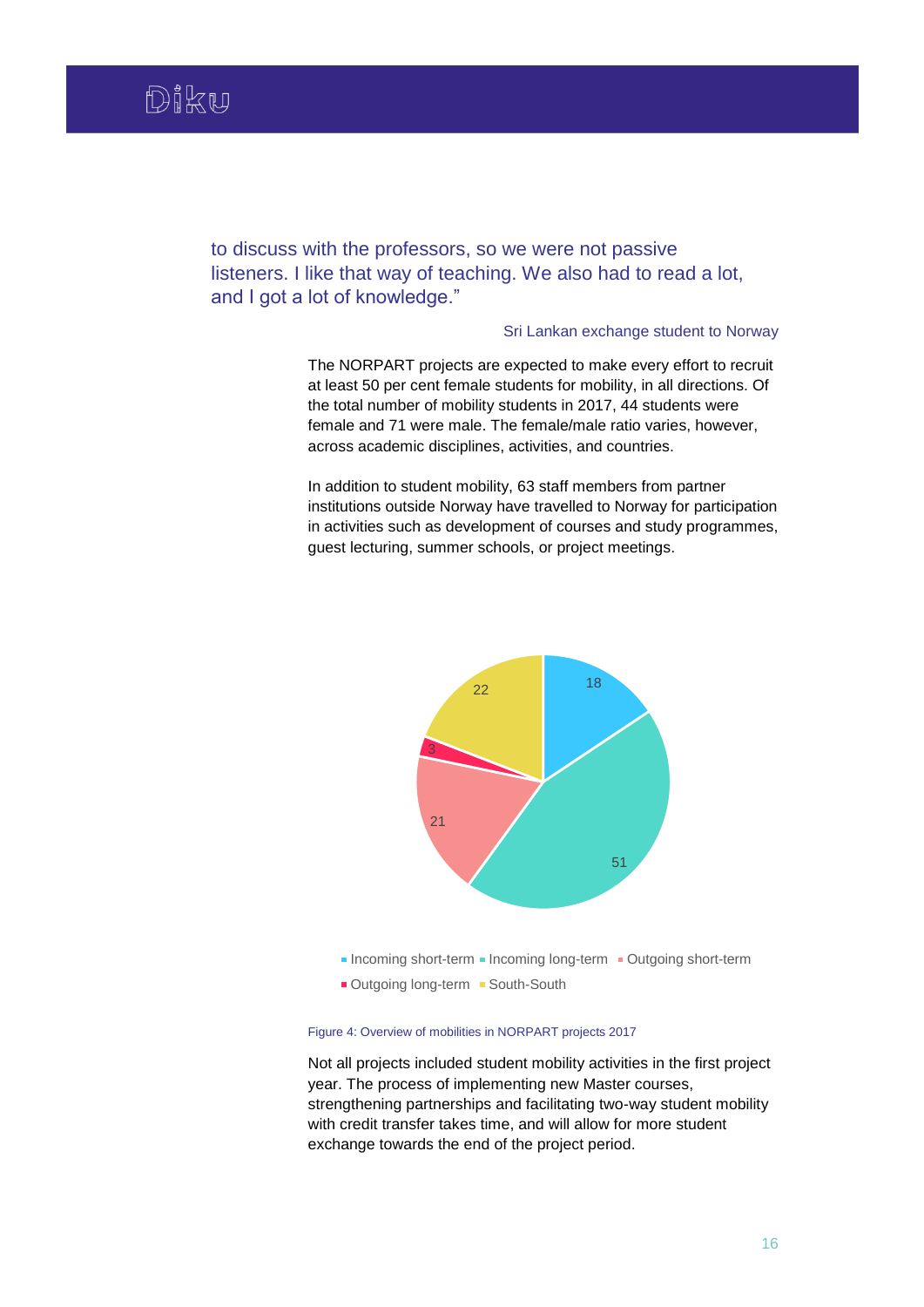to discuss with the professors, so we were not passive listeners. I like that way of teaching. We also had to read a lot, and I got a lot of knowledge."

## Sri Lankan exchange student to Norway

The NORPART projects are expected to make every effort to recruit at least 50 per cent female students for mobility, in all directions. Of the total number of mobility students in 2017, 44 students were female and 71 were male. The female/male ratio varies, however, across academic disciplines, activities, and countries.

In addition to student mobility, 63 staff members from partner institutions outside Norway have travelled to Norway for participation in activities such as development of courses and study programmes, guest lecturing, summer schools, or project meetings.



- Incoming short-term Incoming long-term Incutgoing short-term
- Outgoing long-term South-South

### Figure 4: Overview of mobilities in NORPART projects 2017

Not all projects included student mobility activities in the first project year. The process of implementing new Master courses, strengthening partnerships and facilitating two-way student mobility with credit transfer takes time, and will allow for more student exchange towards the end of the project period.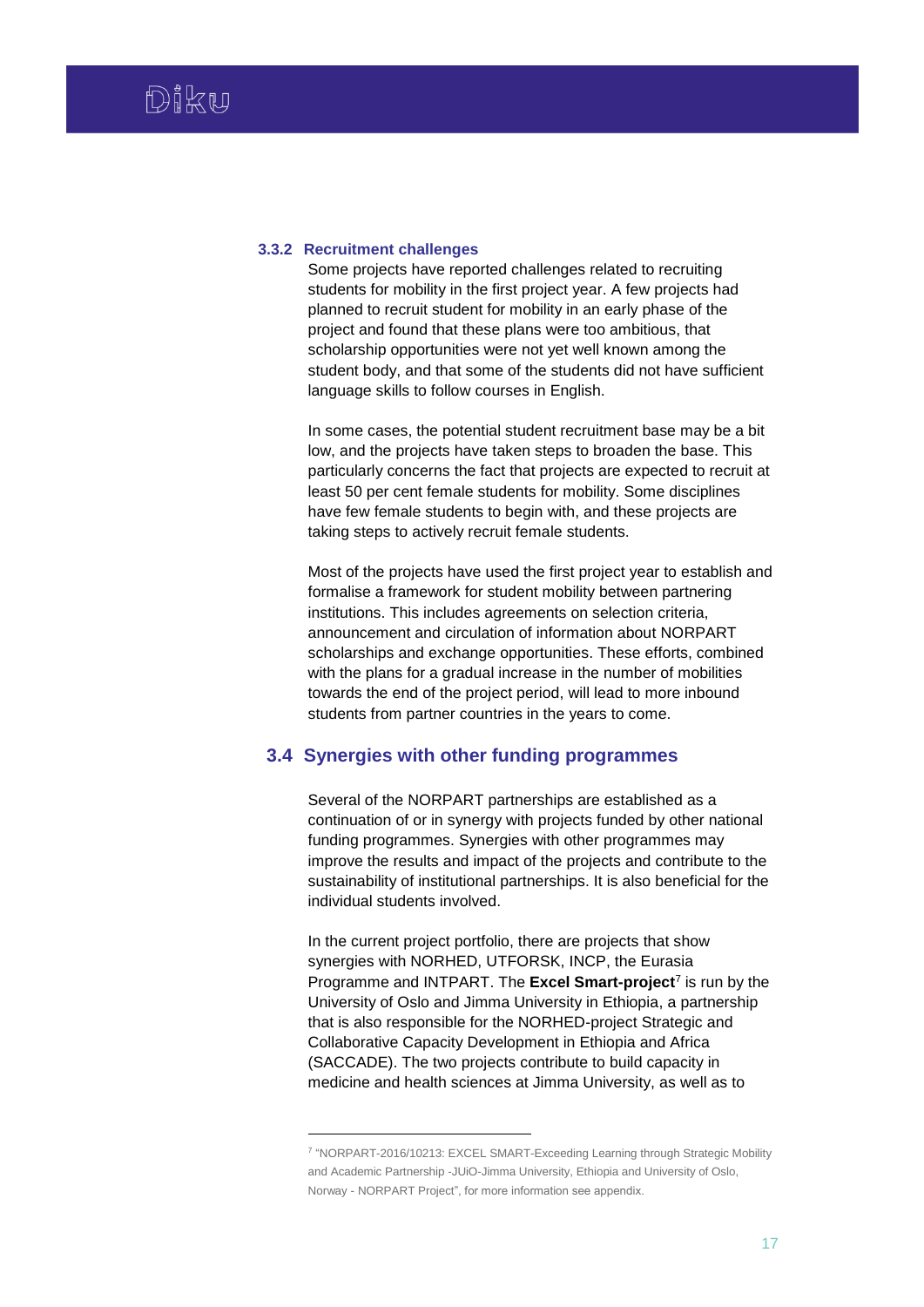### **3.3.2 Recruitment challenges**

1

Some projects have reported challenges related to recruiting students for mobility in the first project year. A few projects had planned to recruit student for mobility in an early phase of the project and found that these plans were too ambitious, that scholarship opportunities were not yet well known among the student body, and that some of the students did not have sufficient language skills to follow courses in English.

In some cases, the potential student recruitment base may be a bit low, and the projects have taken steps to broaden the base. This particularly concerns the fact that projects are expected to recruit at least 50 per cent female students for mobility. Some disciplines have few female students to begin with, and these projects are taking steps to actively recruit female students.

Most of the projects have used the first project year to establish and formalise a framework for student mobility between partnering institutions. This includes agreements on selection criteria, announcement and circulation of information about NORPART scholarships and exchange opportunities. These efforts, combined with the plans for a gradual increase in the number of mobilities towards the end of the project period, will lead to more inbound students from partner countries in the years to come.

# <span id="page-17-0"></span>**3.4 Synergies with other funding programmes**

Several of the NORPART partnerships are established as a continuation of or in synergy with projects funded by other national funding programmes. Synergies with other programmes may improve the results and impact of the projects and contribute to the sustainability of institutional partnerships. It is also beneficial for the individual students involved.

In the current project portfolio, there are projects that show synergies with NORHED, UTFORSK, INCP, the Eurasia Programme and INTPART. The **Excel Smart-project**<sup>7</sup> is run by the University of Oslo and Jimma University in Ethiopia, a partnership that is also responsible for the NORHED-project Strategic and Collaborative Capacity Development in Ethiopia and Africa (SACCADE). The two projects contribute to build capacity in medicine and health sciences at Jimma University, as well as to

<sup>7</sup> "NORPART-2016/10213: EXCEL SMART-Exceeding Learning through Strategic Mobility and Academic Partnership -JUiO-Jimma University, Ethiopia and University of Oslo, Norway - NORPART Project", for more information see appendix.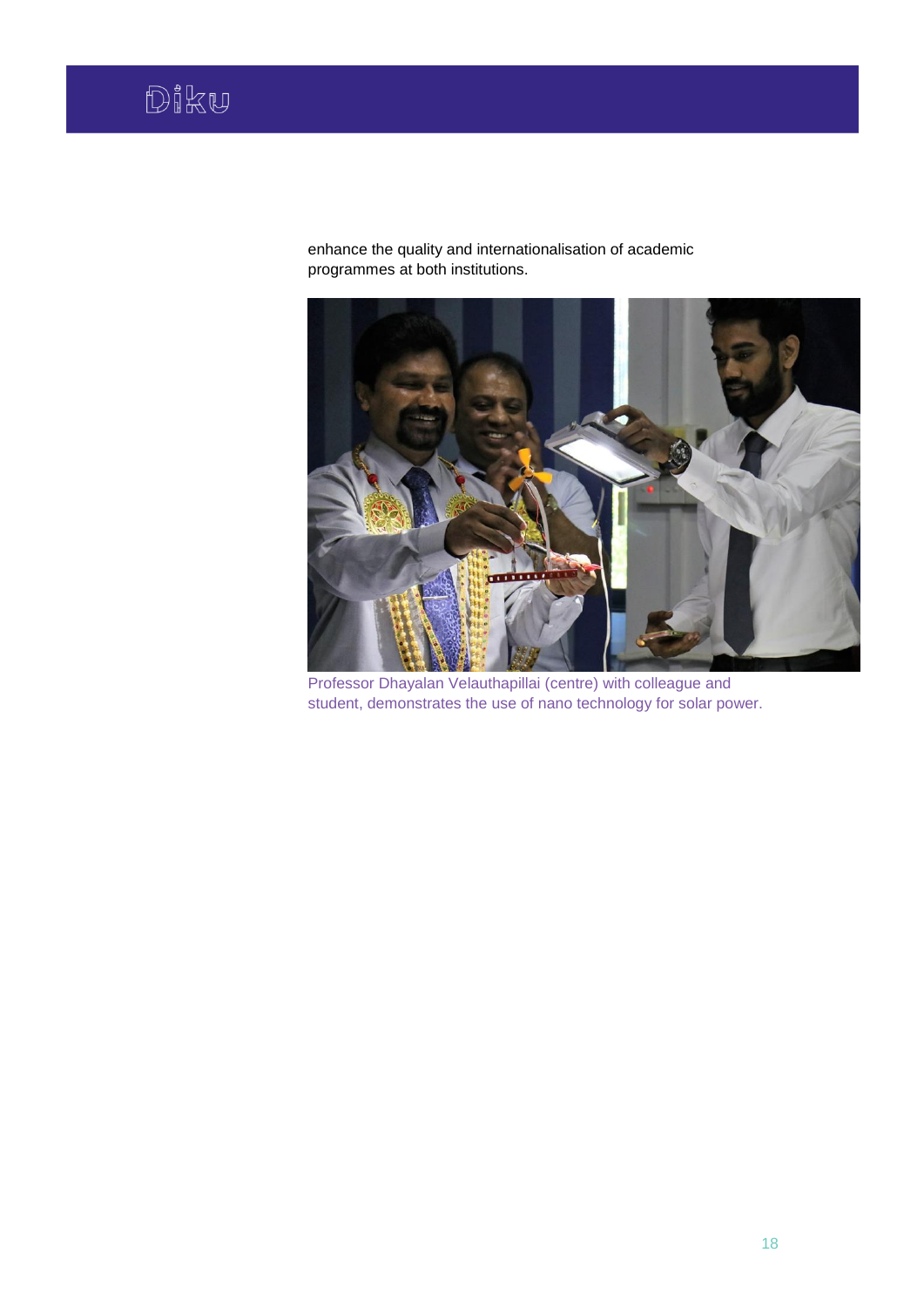enhance the quality and internationalisation of academic programmes at both institutions.



Professor Dhayalan Velauthapillai (centre) with colleague and student, demonstrates the use of nano technology for solar power.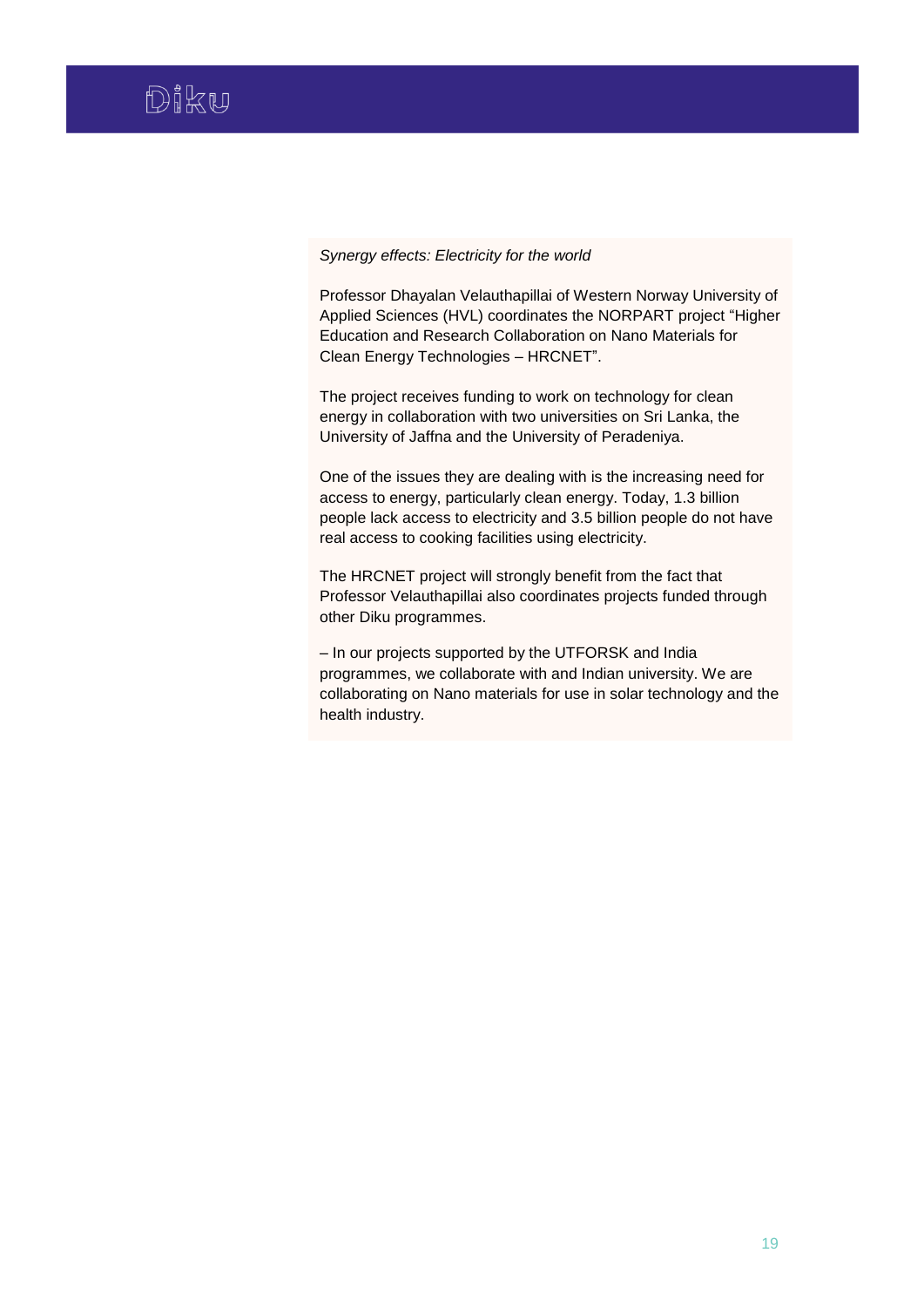### *Synergy effects: Electricity for the world*

Professor Dhayalan Velauthapillai of Western Norway University of Applied Sciences (HVL) coordinates the NORPART project "Higher Education and Research Collaboration on Nano Materials for Clean Energy Technologies – HRCNET".

The project receives funding to work on technology for clean energy in collaboration with two universities on Sri Lanka, the University of Jaffna and the University of Peradeniya.

One of the issues they are dealing with is the increasing need for access to energy, particularly clean energy. Today, 1.3 billion people lack access to electricity and 3.5 billion people do not have real access to cooking facilities using electricity.

The HRCNET project will strongly benefit from the fact that Professor Velauthapillai also coordinates projects funded through other Diku programmes.

– In our projects supported by the UTFORSK and India programmes, we collaborate with and Indian university. We are collaborating on Nano materials for use in solar technology and the health industry.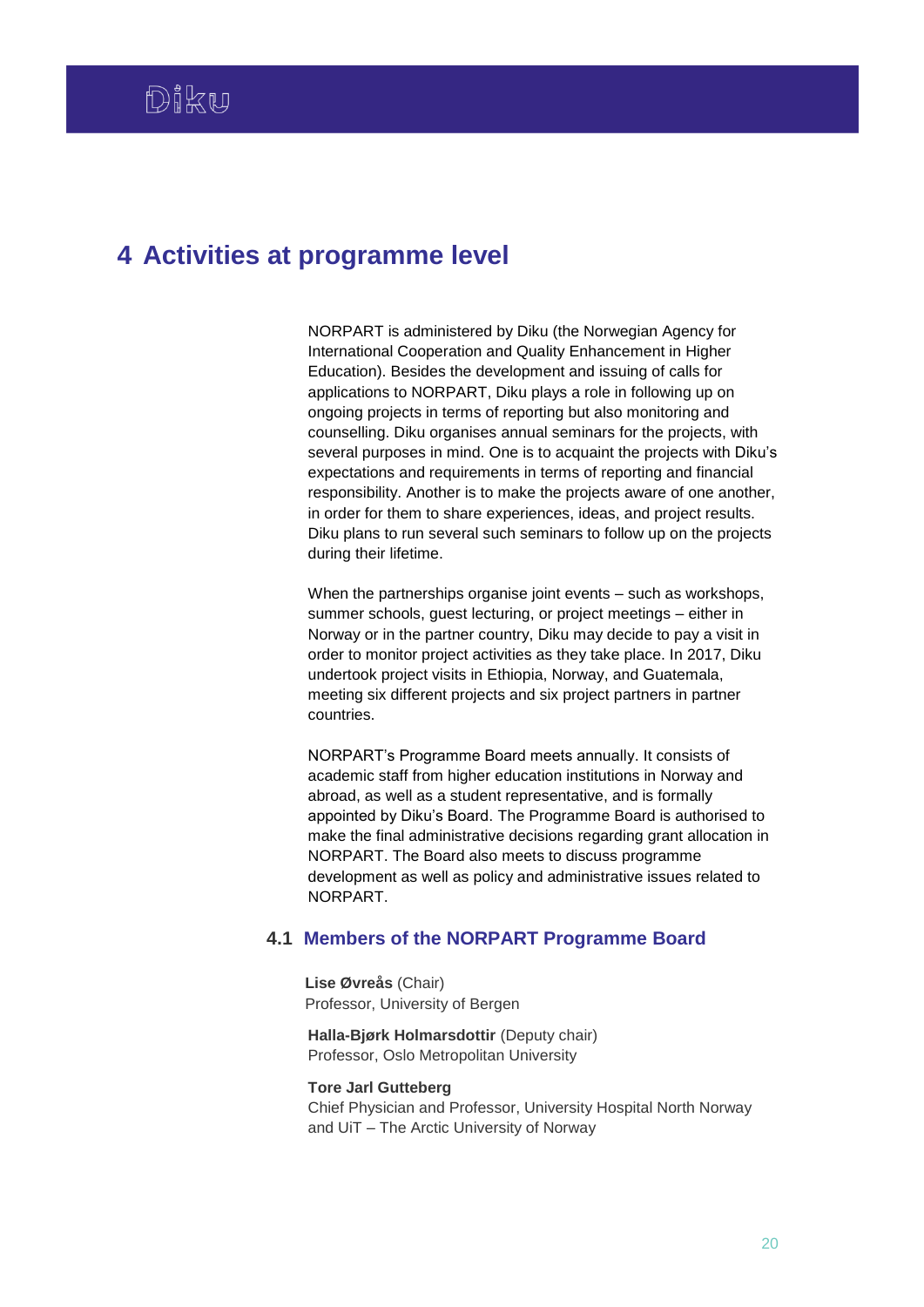# <span id="page-20-0"></span>**4 Activities at programme level**

NORPART is administered by Diku (the Norwegian Agency for International Cooperation and Quality Enhancement in Higher Education). Besides the development and issuing of calls for applications to NORPART, Diku plays a role in following up on ongoing projects in terms of reporting but also monitoring and counselling. Diku organises annual seminars for the projects, with several purposes in mind. One is to acquaint the projects with Diku's expectations and requirements in terms of reporting and financial responsibility. Another is to make the projects aware of one another, in order for them to share experiences, ideas, and project results. Diku plans to run several such seminars to follow up on the projects during their lifetime.

When the partnerships organise joint events – such as workshops, summer schools, guest lecturing, or project meetings – either in Norway or in the partner country, Diku may decide to pay a visit in order to monitor project activities as they take place. In 2017, Diku undertook project visits in Ethiopia, Norway, and Guatemala, meeting six different projects and six project partners in partner countries.

NORPART's Programme Board meets annually. It consists of academic staff from higher education institutions in Norway and abroad, as well as a student representative, and is formally appointed by Diku's Board. The Programme Board is authorised to make the final administrative decisions regarding grant allocation in NORPART. The Board also meets to discuss programme development as well as policy and administrative issues related to **NORPART** 

# <span id="page-20-1"></span>**4.1 Members of the NORPART Programme Board**

**Lise Øvreås** (Chair) Professor, University of Bergen

**Halla-Bjørk Holmarsdottir** (Deputy chair) Professor, Oslo Metropolitan University

### **Tore Jarl Gutteberg**

Chief Physician and Professor, University Hospital North Norway and UiT – The Arctic University of Norway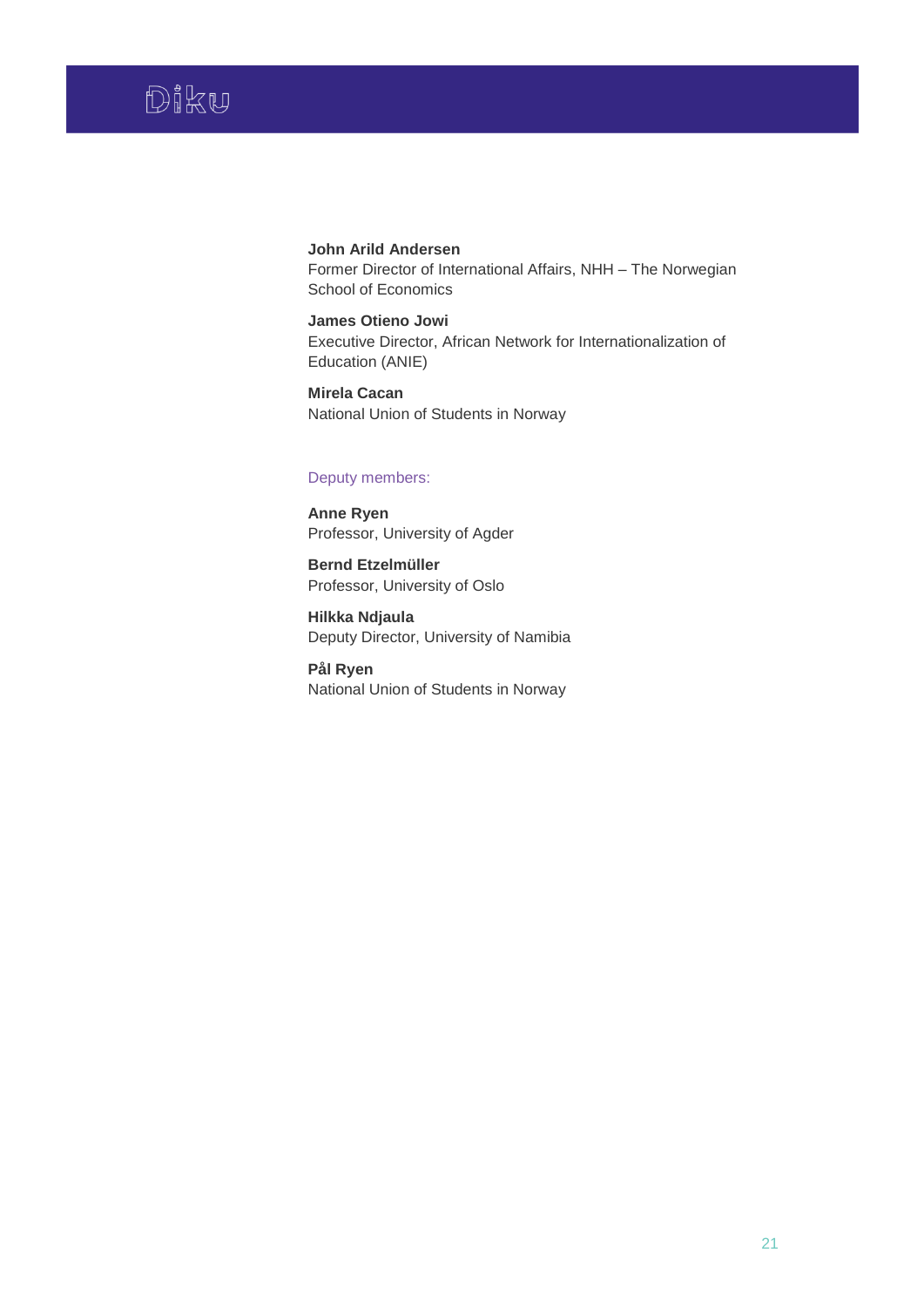

# **John Arild Andersen** Former Director of International Affairs, NHH – The Norwegian School of Economics

**James Otieno Jowi** Executive Director, African Network for Internationalization of Education (ANIE)

**Mirela Cacan** National Union of Students in Norway

## Deputy members:

**Anne Ryen** Professor, University of Agder

**Bernd Etzelmüller** Professor, University of Oslo

**Hilkka Ndjaula** Deputy Director, University of Namibia

**Pål Ryen** National Union of Students in Norway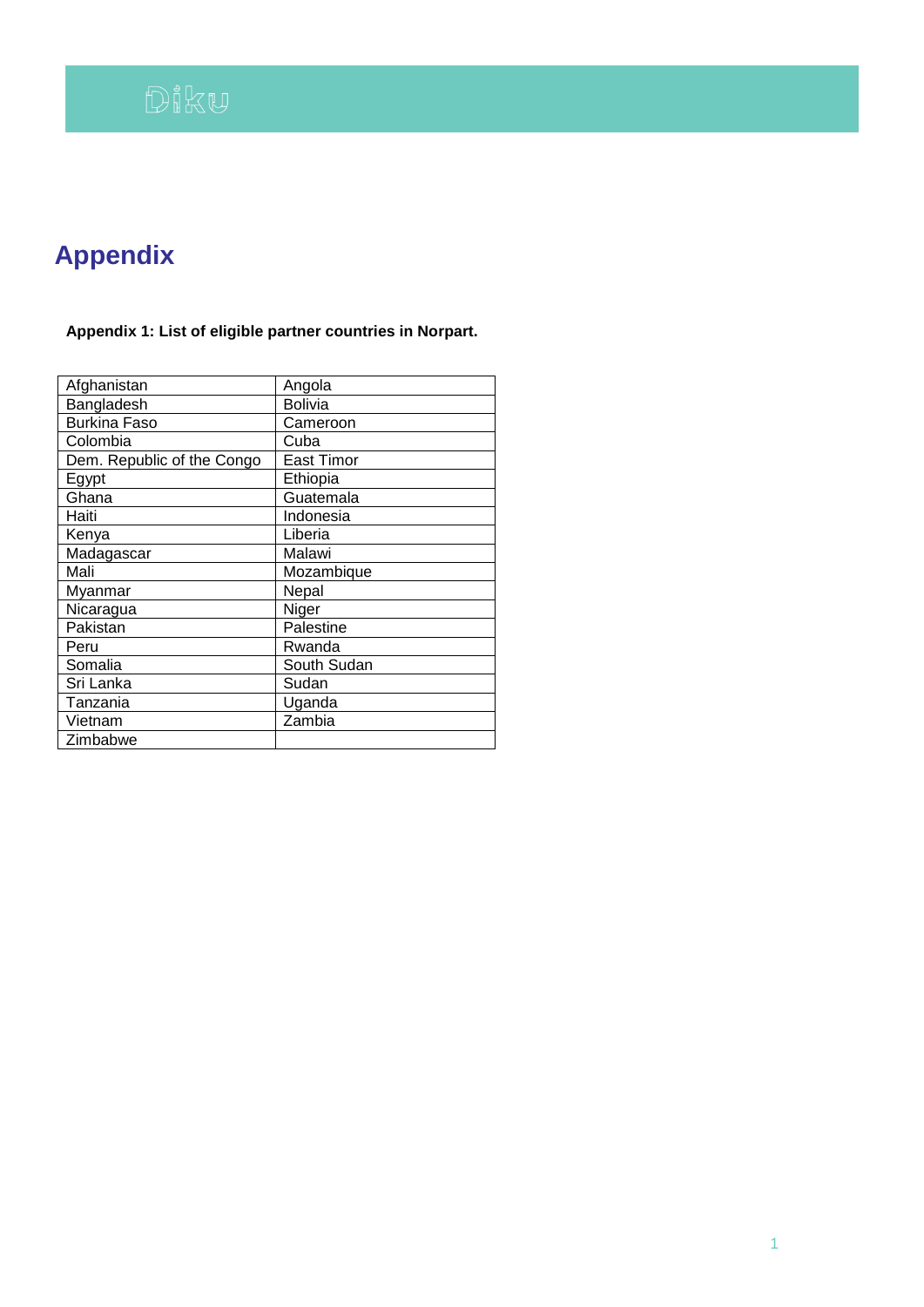# **Appendix**

# **Appendix 1: List of eligible partner countries in Norpart.**

| Afghanistan                | Angola            |
|----------------------------|-------------------|
| Bangladesh                 | Bolivia           |
| <b>Burkina Faso</b>        | Cameroon          |
| Colombia                   | Cuba              |
| Dem. Republic of the Congo | <b>East Timor</b> |
| Egypt                      | Ethiopia          |
| Ghana                      | Guatemala         |
| Haiti                      | Indonesia         |
| Kenya                      | Liberia           |
| Madagascar                 | Malawi            |
| Mali                       | Mozambique        |
| Myanmar                    | Nepal             |
| Nicaragua                  | Niger             |
| Pakistan                   | Palestine         |
| Peru                       | Rwanda            |
| Somalia                    | South Sudan       |
| Sri Lanka                  | Sudan             |
| Tanzania                   | Uganda            |
| Vietnam                    | Zambia            |
| Zimbabwe                   |                   |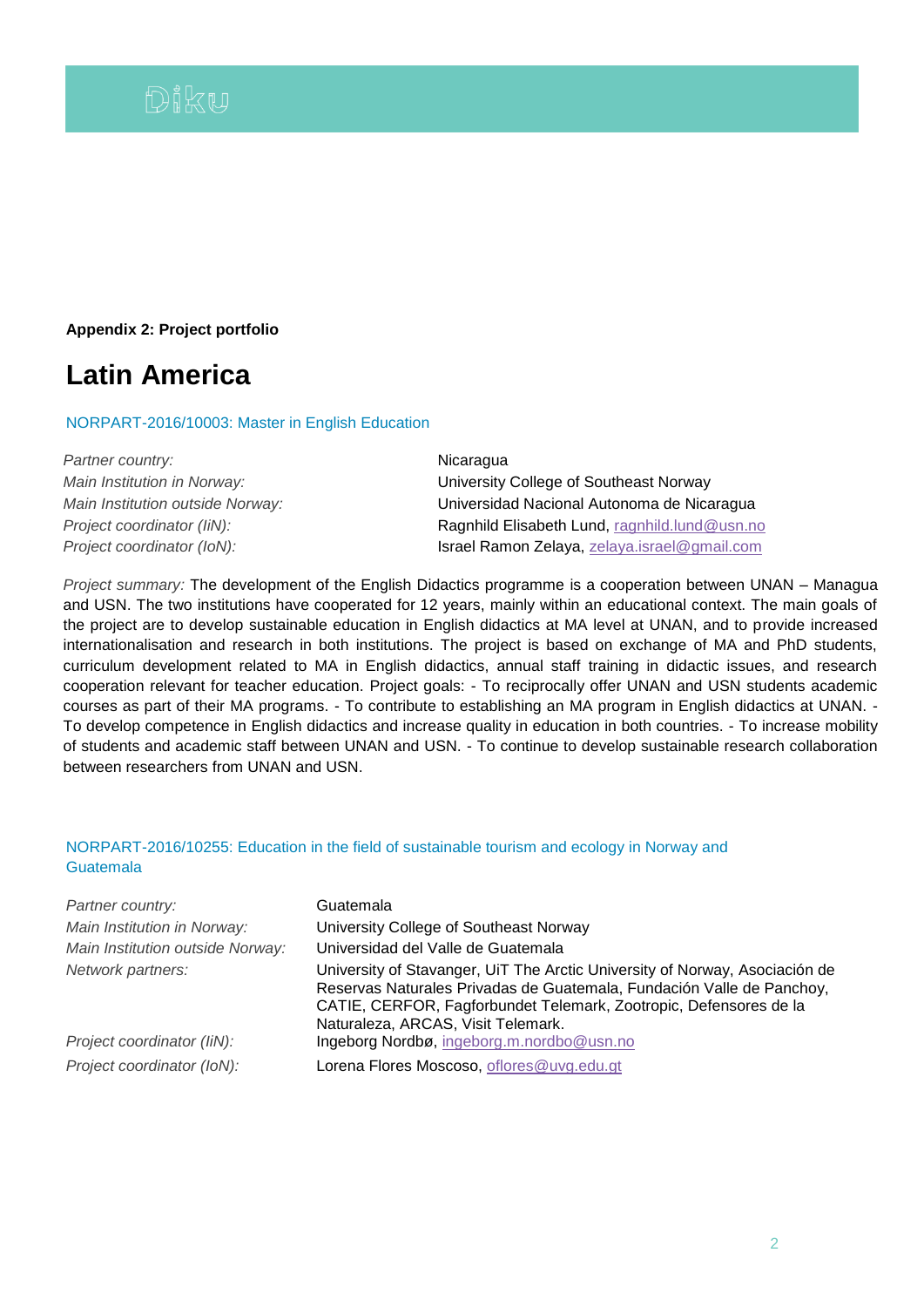# **Appendix 2: Project portfolio**

# **Latin America**

NORPART-2016/10003: Master in English Education

| Partner country:                 | Nicaragua                                     |
|----------------------------------|-----------------------------------------------|
| Main Institution in Norway:      | University College of Southeast Norway        |
| Main Institution outside Norway: | Universidad Nacional Autonoma de Nicaragua    |
| Project coordinator (IiN):       | Ragnhild Elisabeth Lund, ragnhild.lund@usn.no |
| Project coordinator (IoN):       | Israel Ramon Zelaya, zelaya.israel@gmail.com  |

*Project summary:* The development of the English Didactics programme is a cooperation between UNAN – Managua and USN. The two institutions have cooperated for 12 years, mainly within an educational context. The main goals of the project are to develop sustainable education in English didactics at MA level at UNAN, and to provide increased internationalisation and research in both institutions. The project is based on exchange of MA and PhD students, curriculum development related to MA in English didactics, annual staff training in didactic issues, and research cooperation relevant for teacher education. Project goals: - To reciprocally offer UNAN and USN students academic courses as part of their MA programs. - To contribute to establishing an MA program in English didactics at UNAN. - To develop competence in English didactics and increase quality in education in both countries. - To increase mobility of students and academic staff between UNAN and USN. - To continue to develop sustainable research collaboration between researchers from UNAN and USN.

# NORPART-2016/10255: Education in the field of sustainable tourism and ecology in Norway and **Guatemala**

| Partner country:<br>Main Institution in Norway:<br>Main Institution outside Norway: | Guatemala<br>University College of Southeast Norway<br>Universidad del Valle de Guatemala                                                                                                                                                                       |
|-------------------------------------------------------------------------------------|-----------------------------------------------------------------------------------------------------------------------------------------------------------------------------------------------------------------------------------------------------------------|
| Network partners:                                                                   | University of Stavanger, UiT The Arctic University of Norway, Asociación de<br>Reservas Naturales Privadas de Guatemala, Fundación Valle de Panchoy,<br>CATIE, CERFOR, Fagforbundet Telemark, Zootropic, Defensores de la<br>Naturaleza, ARCAS, Visit Telemark. |
| Project coordinator (IiN):                                                          | Ingeborg Nordbø, ingeborg.m.nordbo@usn.no                                                                                                                                                                                                                       |
| Project coordinator (IoN):                                                          | Lorena Flores Moscoso, oflores@uvg.edu.gt                                                                                                                                                                                                                       |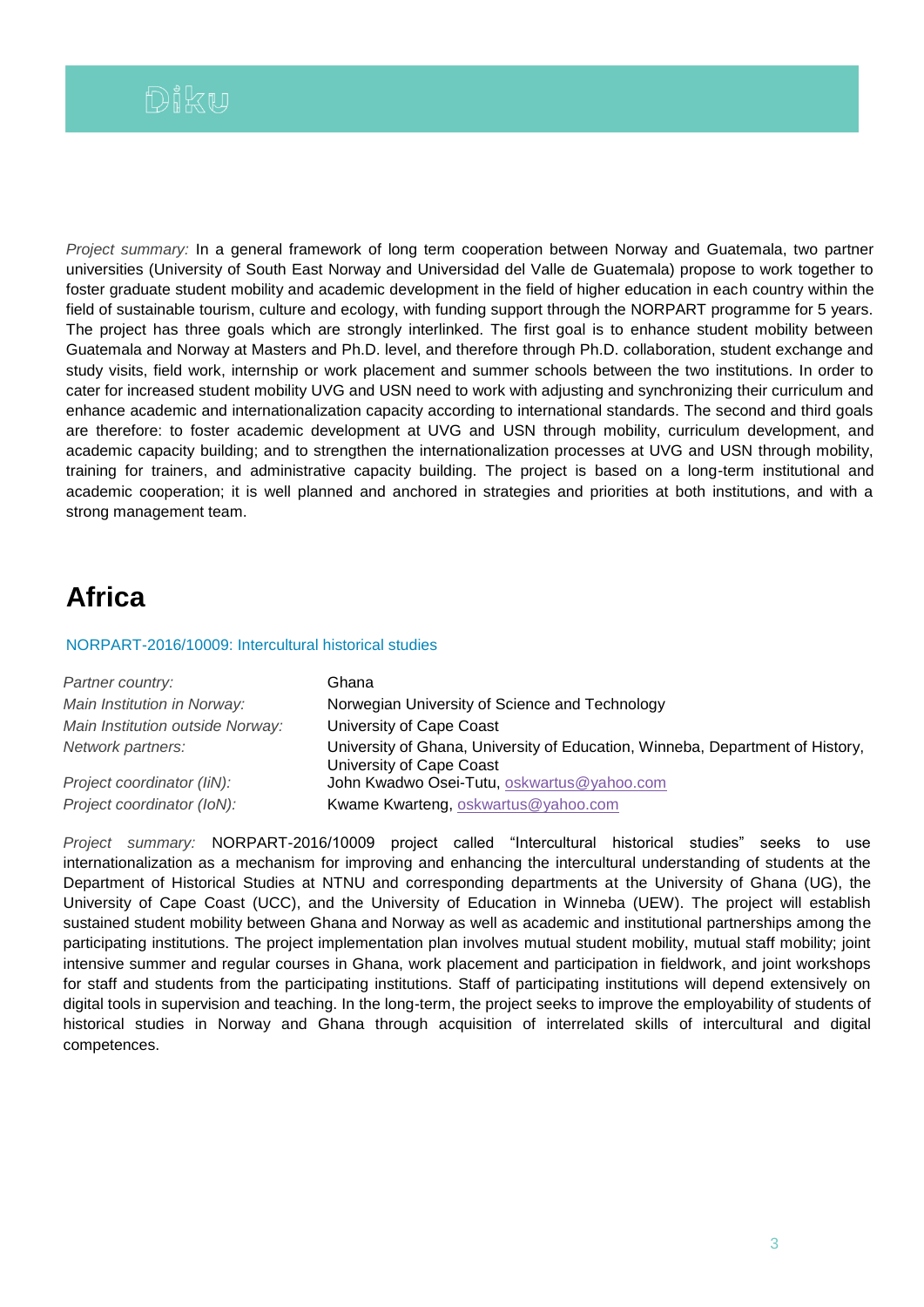*Project summary:* In a general framework of long term cooperation between Norway and Guatemala, two partner universities (University of South East Norway and Universidad del Valle de Guatemala) propose to work together to foster graduate student mobility and academic development in the field of higher education in each country within the field of sustainable tourism, culture and ecology, with funding support through the NORPART programme for 5 years. The project has three goals which are strongly interlinked. The first goal is to enhance student mobility between Guatemala and Norway at Masters and Ph.D. level, and therefore through Ph.D. collaboration, student exchange and study visits, field work, internship or work placement and summer schools between the two institutions. In order to cater for increased student mobility UVG and USN need to work with adjusting and synchronizing their curriculum and enhance academic and internationalization capacity according to international standards. The second and third goals are therefore: to foster academic development at UVG and USN through mobility, curriculum development, and academic capacity building; and to strengthen the internationalization processes at UVG and USN through mobility, training for trainers, and administrative capacity building. The project is based on a long-term institutional and academic cooperation; it is well planned and anchored in strategies and priorities at both institutions, and with a strong management team.

# **Africa**

## NORPART-2016/10009: Intercultural historical studies

| Partner country:                 | Ghana                                                                                                     |
|----------------------------------|-----------------------------------------------------------------------------------------------------------|
| Main Institution in Norway:      | Norwegian University of Science and Technology                                                            |
| Main Institution outside Norway: | University of Cape Coast                                                                                  |
| Network partners:                | University of Ghana, University of Education, Winneba, Department of History,<br>University of Cape Coast |
| Project coordinator (IiN):       | John Kwadwo Osei-Tutu, oskwartus@yahoo.com                                                                |
| Project coordinator (IoN):       | Kwame Kwarteng, oskwartus@yahoo.com                                                                       |

*Project summary:* NORPART-2016/10009 project called "Intercultural historical studies" seeks to use internationalization as a mechanism for improving and enhancing the intercultural understanding of students at the Department of Historical Studies at NTNU and corresponding departments at the University of Ghana (UG), the University of Cape Coast (UCC), and the University of Education in Winneba (UEW). The project will establish sustained student mobility between Ghana and Norway as well as academic and institutional partnerships among the participating institutions. The project implementation plan involves mutual student mobility, mutual staff mobility; joint intensive summer and regular courses in Ghana, work placement and participation in fieldwork, and joint workshops for staff and students from the participating institutions. Staff of participating institutions will depend extensively on digital tools in supervision and teaching. In the long-term, the project seeks to improve the employability of students of historical studies in Norway and Ghana through acquisition of interrelated skills of intercultural and digital competences.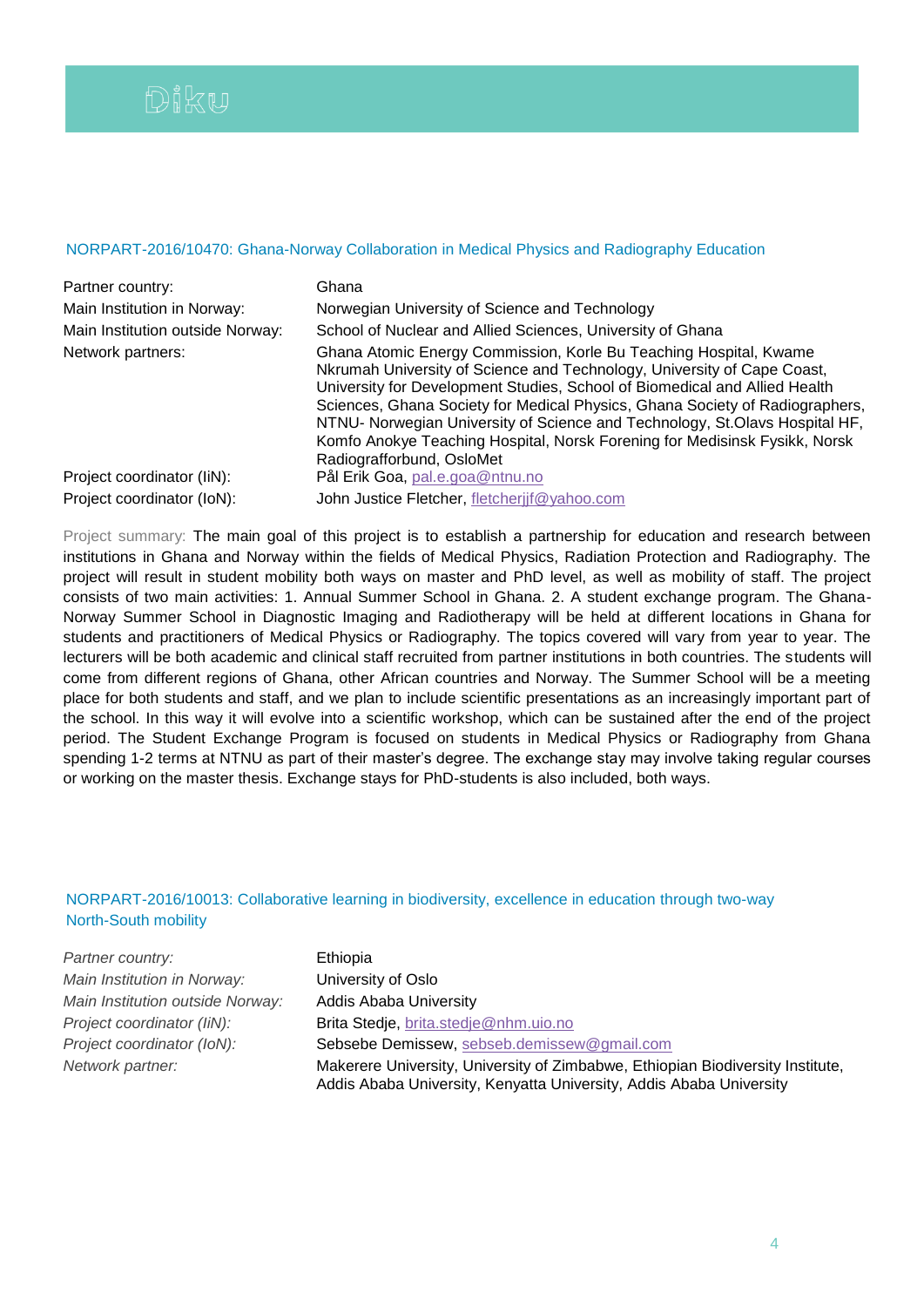# NORPART-2016/10470: Ghana-Norway Collaboration in Medical Physics and Radiography Education

| Partner country:                 | Ghana                                                                                                                                                                                                                                                                                                                                                                                                                                                                                                |
|----------------------------------|------------------------------------------------------------------------------------------------------------------------------------------------------------------------------------------------------------------------------------------------------------------------------------------------------------------------------------------------------------------------------------------------------------------------------------------------------------------------------------------------------|
| Main Institution in Norway:      | Norwegian University of Science and Technology                                                                                                                                                                                                                                                                                                                                                                                                                                                       |
| Main Institution outside Norway: | School of Nuclear and Allied Sciences, University of Ghana                                                                                                                                                                                                                                                                                                                                                                                                                                           |
| Network partners:                | Ghana Atomic Energy Commission, Korle Bu Teaching Hospital, Kwame<br>Nkrumah University of Science and Technology, University of Cape Coast,<br>University for Development Studies, School of Biomedical and Allied Health<br>Sciences, Ghana Society for Medical Physics, Ghana Society of Radiographers,<br>NTNU- Norwegian University of Science and Technology, St.Olavs Hospital HF,<br>Komfo Anokye Teaching Hospital, Norsk Forening for Medisinsk Fysikk, Norsk<br>Radiografforbund, OsloMet |
| Project coordinator (IiN):       | Pål Erik Goa, pal.e.goa@ntnu.no                                                                                                                                                                                                                                                                                                                                                                                                                                                                      |
| Project coordinator (IoN):       | John Justice Fletcher, fletcherijf@yahoo.com                                                                                                                                                                                                                                                                                                                                                                                                                                                         |

Project summary: The main goal of this project is to establish a partnership for education and research between institutions in Ghana and Norway within the fields of Medical Physics, Radiation Protection and Radiography. The project will result in student mobility both ways on master and PhD level, as well as mobility of staff. The project consists of two main activities: 1. Annual Summer School in Ghana. 2. A student exchange program. The Ghana-Norway Summer School in Diagnostic Imaging and Radiotherapy will be held at different locations in Ghana for students and practitioners of Medical Physics or Radiography. The topics covered will vary from year to year. The lecturers will be both academic and clinical staff recruited from partner institutions in both countries. The students will come from different regions of Ghana, other African countries and Norway. The Summer School will be a meeting place for both students and staff, and we plan to include scientific presentations as an increasingly important part of the school. In this way it will evolve into a scientific workshop, which can be sustained after the end of the project period. The Student Exchange Program is focused on students in Medical Physics or Radiography from Ghana spending 1-2 terms at NTNU as part of their master's degree. The exchange stay may involve taking regular courses or working on the master thesis. Exchange stays for PhD-students is also included, both ways.

# NORPART-2016/10013: Collaborative learning in biodiversity, excellence in education through two-way North-South mobility

| Partner country:                 | Ethiopia                                                                                                                                              |
|----------------------------------|-------------------------------------------------------------------------------------------------------------------------------------------------------|
| Main Institution in Norway:      | University of Oslo                                                                                                                                    |
| Main Institution outside Norway: | <b>Addis Ababa University</b>                                                                                                                         |
| Project coordinator (IiN):       | Brita Stedje, brita.stedje@nhm.uio.no                                                                                                                 |
| Project coordinator (IoN):       | Sebsebe Demissew, sebseb.demissew@gmail.com                                                                                                           |
| Network partner:                 | Makerere University, University of Zimbabwe, Ethiopian Biodiversity Institute,<br>Addis Ababa University, Kenyatta University, Addis Ababa University |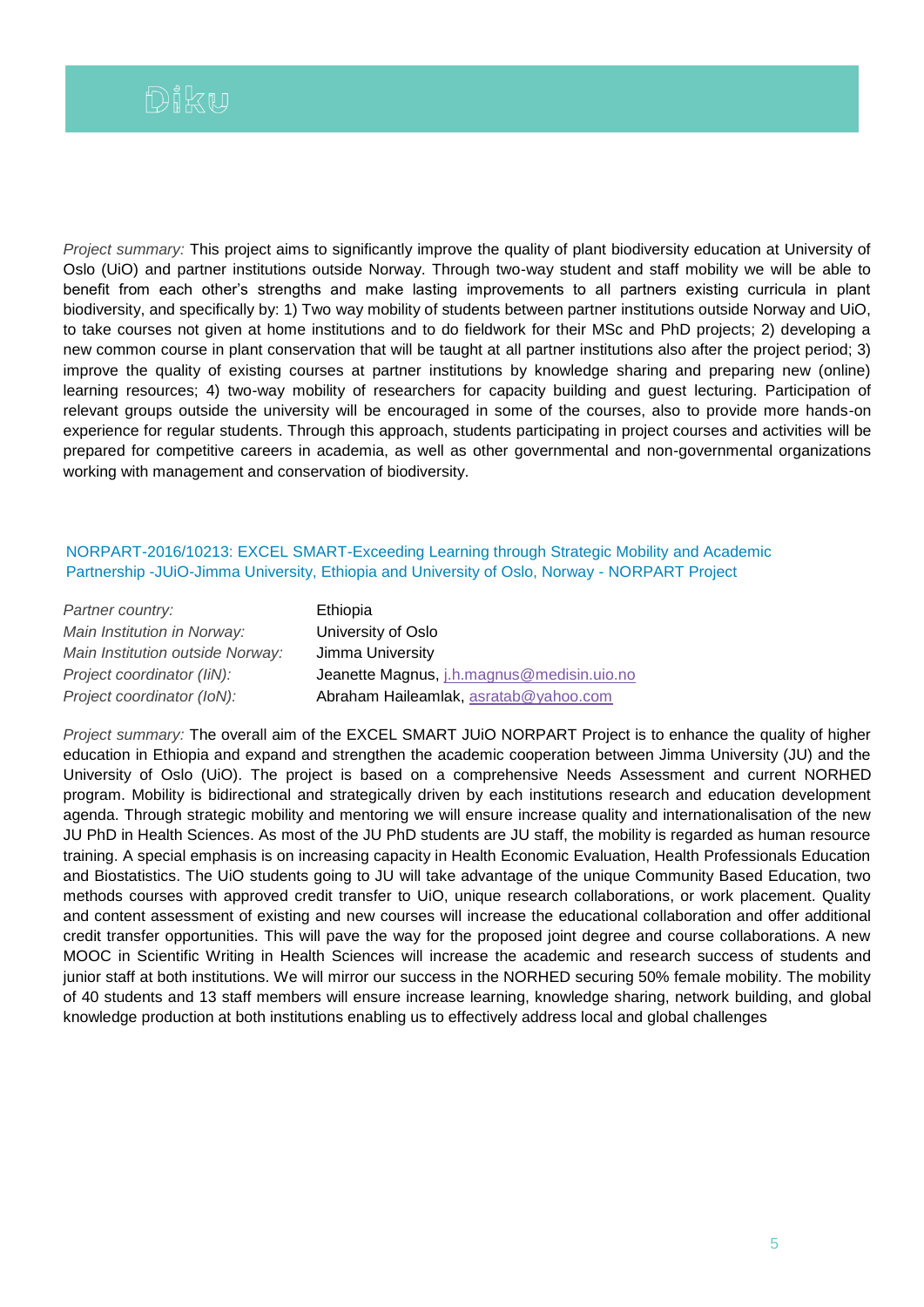*Project summary:* This project aims to significantly improve the quality of plant biodiversity education at University of Oslo (UiO) and partner institutions outside Norway. Through two-way student and staff mobility we will be able to benefit from each other's strengths and make lasting improvements to all partners existing curricula in plant biodiversity, and specifically by: 1) Two way mobility of students between partner institutions outside Norway and UiO, to take courses not given at home institutions and to do fieldwork for their MSc and PhD projects; 2) developing a new common course in plant conservation that will be taught at all partner institutions also after the project period; 3) improve the quality of existing courses at partner institutions by knowledge sharing and preparing new (online) learning resources; 4) two-way mobility of researchers for capacity building and guest lecturing. Participation of relevant groups outside the university will be encouraged in some of the courses, also to provide more hands-on experience for regular students. Through this approach, students participating in project courses and activities will be prepared for competitive careers in academia, as well as other governmental and non-governmental organizations working with management and conservation of biodiversity.

## NORPART-2016/10213: EXCEL SMART-Exceeding Learning through Strategic Mobility and Academic Partnership -JUiO-Jimma University, Ethiopia and University of Oslo, Norway - NORPART Project

| Partner country:                 | Ethiopia                                   |
|----------------------------------|--------------------------------------------|
| Main Institution in Norway:      | University of Oslo                         |
| Main Institution outside Norway: | Jimma University                           |
| Project coordinator (IiN):       | Jeanette Magnus, j.h.magnus@medisin.uio.no |
| Project coordinator (IoN):       | Abraham Haileamlak, asratab@yahoo.com      |

*Project summary:* The overall aim of the EXCEL SMART JUiO NORPART Project is to enhance the quality of higher education in Ethiopia and expand and strengthen the academic cooperation between Jimma University (JU) and the University of Oslo (UiO). The project is based on a comprehensive Needs Assessment and current NORHED program. Mobility is bidirectional and strategically driven by each institutions research and education development agenda. Through strategic mobility and mentoring we will ensure increase quality and internationalisation of the new JU PhD in Health Sciences. As most of the JU PhD students are JU staff, the mobility is regarded as human resource training. A special emphasis is on increasing capacity in Health Economic Evaluation, Health Professionals Education and Biostatistics. The UiO students going to JU will take advantage of the unique Community Based Education, two methods courses with approved credit transfer to UiO, unique research collaborations, or work placement. Quality and content assessment of existing and new courses will increase the educational collaboration and offer additional credit transfer opportunities. This will pave the way for the proposed joint degree and course collaborations. A new MOOC in Scientific Writing in Health Sciences will increase the academic and research success of students and junior staff at both institutions. We will mirror our success in the NORHED securing 50% female mobility. The mobility of 40 students and 13 staff members will ensure increase learning, knowledge sharing, network building, and global knowledge production at both institutions enabling us to effectively address local and global challenges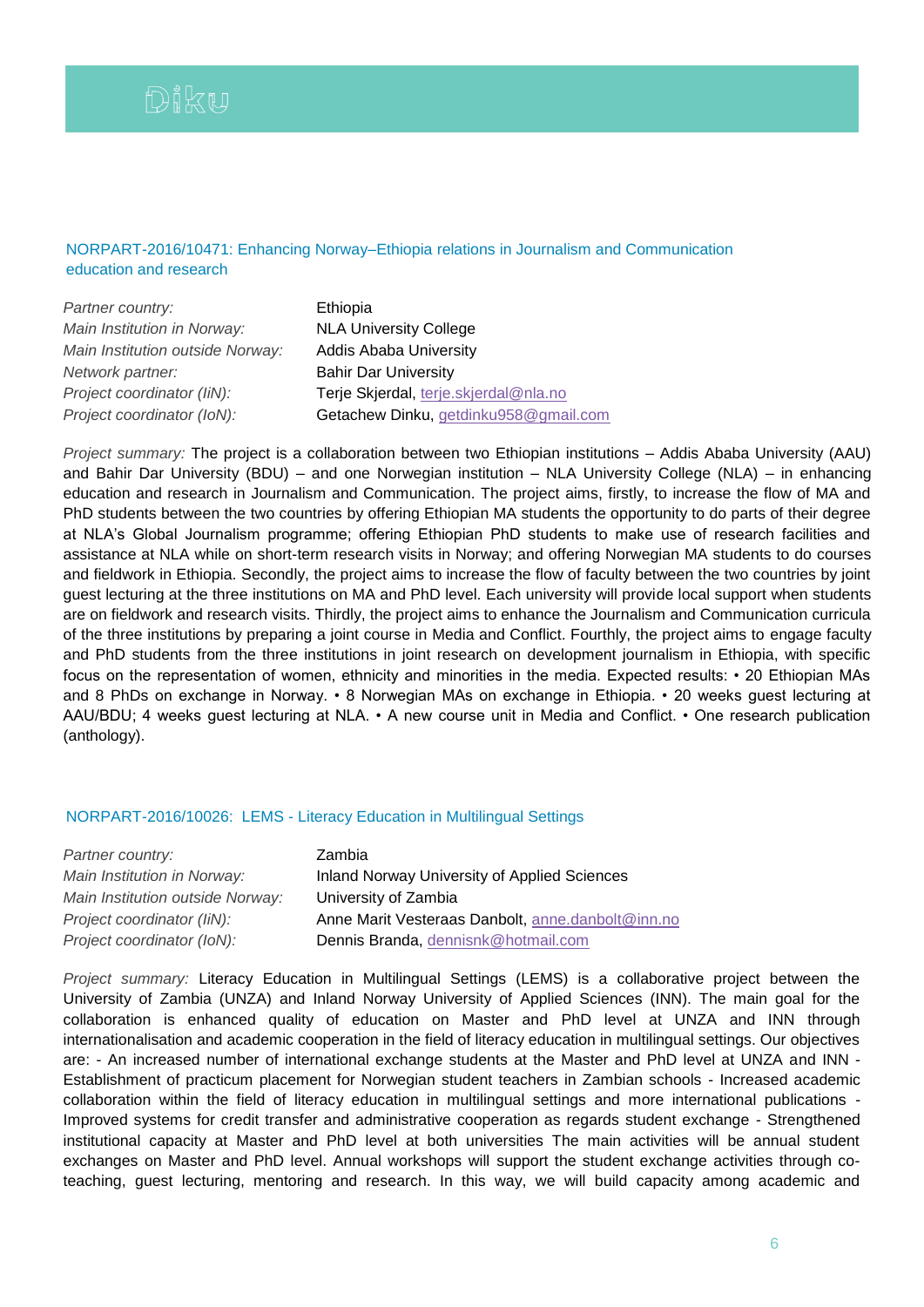# NORPART-2016/10471: Enhancing Norway–Ethiopia relations in Journalism and Communication education and research

| Partner country:                 | Ethiopia                              |
|----------------------------------|---------------------------------------|
| Main Institution in Norway:      | <b>NLA University College</b>         |
| Main Institution outside Norway: | <b>Addis Ababa University</b>         |
| Network partner:                 | <b>Bahir Dar University</b>           |
| Project coordinator (IiN):       | Terje Skjerdal, terje.skjerdal@nla.no |
| Project coordinator (IoN):       | Getachew Dinku, getdinku958@gmail.com |

*Project summary:* The project is a collaboration between two Ethiopian institutions – Addis Ababa University (AAU) and Bahir Dar University (BDU) – and one Norwegian institution – NLA University College (NLA) – in enhancing education and research in Journalism and Communication. The project aims, firstly, to increase the flow of MA and PhD students between the two countries by offering Ethiopian MA students the opportunity to do parts of their degree at NLA's Global Journalism programme; offering Ethiopian PhD students to make use of research facilities and assistance at NLA while on short-term research visits in Norway; and offering Norwegian MA students to do courses and fieldwork in Ethiopia. Secondly, the project aims to increase the flow of faculty between the two countries by joint guest lecturing at the three institutions on MA and PhD level. Each university will provide local support when students are on fieldwork and research visits. Thirdly, the project aims to enhance the Journalism and Communication curricula of the three institutions by preparing a joint course in Media and Conflict. Fourthly, the project aims to engage faculty and PhD students from the three institutions in joint research on development journalism in Ethiopia, with specific focus on the representation of women, ethnicity and minorities in the media. Expected results: • 20 Ethiopian MAs and 8 PhDs on exchange in Norway. • 8 Norwegian MAs on exchange in Ethiopia. • 20 weeks guest lecturing at AAU/BDU; 4 weeks guest lecturing at NLA. • A new course unit in Media and Conflict. • One research publication (anthology).

## NORPART-2016/10026: LEMS - Literacy Education in Multilingual Settings

| Partner country:                 | Zambia                                            |
|----------------------------------|---------------------------------------------------|
| Main Institution in Norway:      | Inland Norway University of Applied Sciences      |
| Main Institution outside Norway: | University of Zambia                              |
| Project coordinator (IiN):       | Anne Marit Vesteraas Danbolt, anne danbolt@inn.no |
| Project coordinator (IoN):       | Dennis Branda, dennisnk@hotmail.com               |

*Project summary:* Literacy Education in Multilingual Settings (LEMS) is a collaborative project between the University of Zambia (UNZA) and Inland Norway University of Applied Sciences (INN). The main goal for the collaboration is enhanced quality of education on Master and PhD level at UNZA and INN through internationalisation and academic cooperation in the field of literacy education in multilingual settings. Our objectives are: - An increased number of international exchange students at the Master and PhD level at UNZA and INN - Establishment of practicum placement for Norwegian student teachers in Zambian schools - Increased academic collaboration within the field of literacy education in multilingual settings and more international publications - Improved systems for credit transfer and administrative cooperation as regards student exchange - Strengthened institutional capacity at Master and PhD level at both universities The main activities will be annual student exchanges on Master and PhD level. Annual workshops will support the student exchange activities through coteaching, guest lecturing, mentoring and research. In this way, we will build capacity among academic and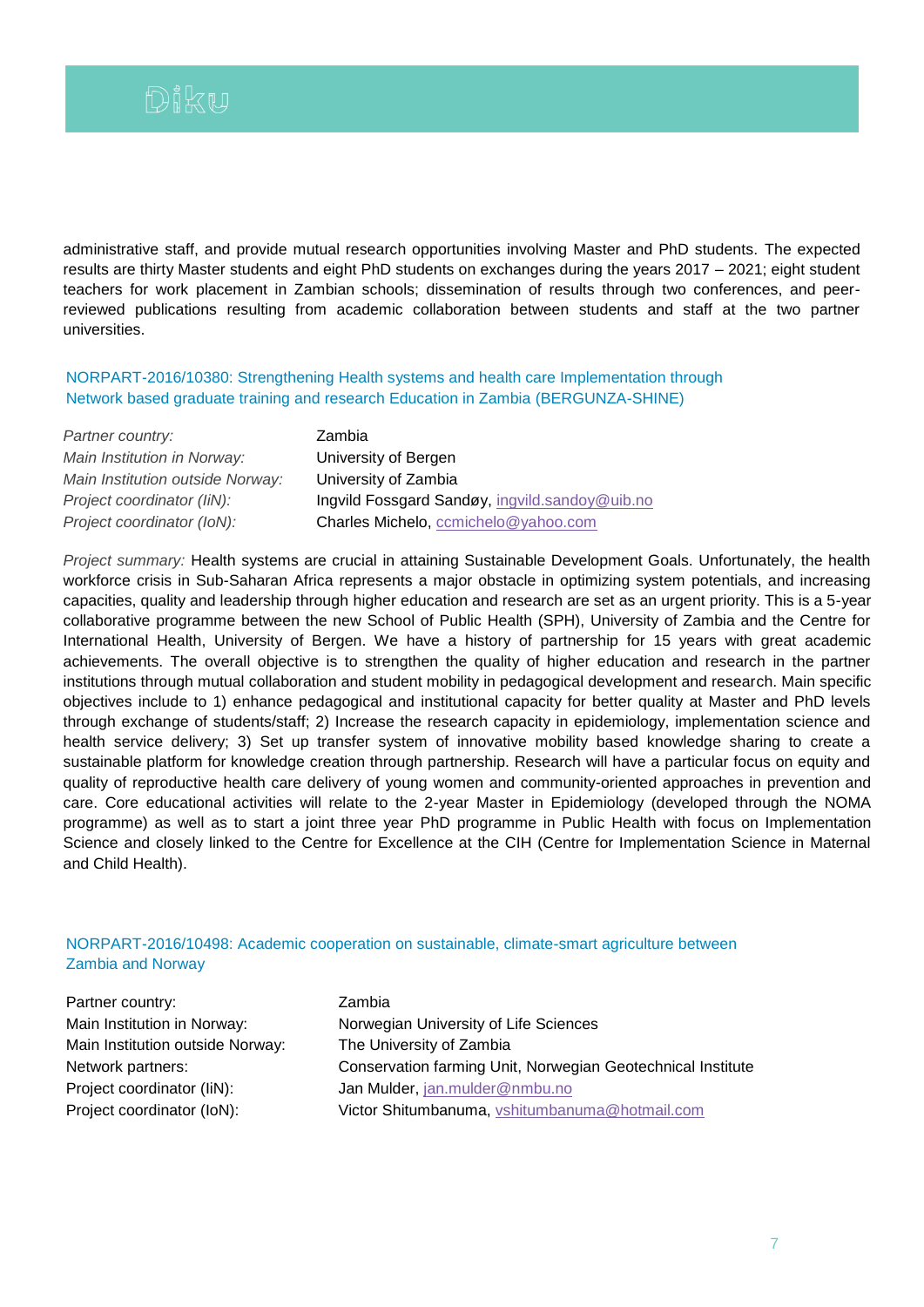administrative staff, and provide mutual research opportunities involving Master and PhD students. The expected results are thirty Master students and eight PhD students on exchanges during the years 2017 – 2021; eight student teachers for work placement in Zambian schools; dissemination of results through two conferences, and peerreviewed publications resulting from academic collaboration between students and staff at the two partner universities.

NORPART-2016/10380: Strengthening Health systems and health care Implementation through Network based graduate training and research Education in Zambia (BERGUNZA-SHINE)

| Partner country:                 | Zambia                                         |
|----------------------------------|------------------------------------------------|
| Main Institution in Norway:      | University of Bergen                           |
| Main Institution outside Norway: | University of Zambia                           |
| Project coordinator (IiN):       | Ingvild Fossgard Sandøy, ingvild.sandoy@uib.no |
| Project coordinator (IoN):       | Charles Michelo, ccmichelo@yahoo.com           |

*Project summary:* Health systems are crucial in attaining Sustainable Development Goals. Unfortunately, the health workforce crisis in Sub-Saharan Africa represents a major obstacle in optimizing system potentials, and increasing capacities, quality and leadership through higher education and research are set as an urgent priority. This is a 5-year collaborative programme between the new School of Public Health (SPH), University of Zambia and the Centre for International Health, University of Bergen. We have a history of partnership for 15 years with great academic achievements. The overall objective is to strengthen the quality of higher education and research in the partner institutions through mutual collaboration and student mobility in pedagogical development and research. Main specific objectives include to 1) enhance pedagogical and institutional capacity for better quality at Master and PhD levels through exchange of students/staff; 2) Increase the research capacity in epidemiology, implementation science and health service delivery; 3) Set up transfer system of innovative mobility based knowledge sharing to create a sustainable platform for knowledge creation through partnership. Research will have a particular focus on equity and quality of reproductive health care delivery of young women and community-oriented approaches in prevention and care. Core educational activities will relate to the 2-year Master in Epidemiology (developed through the NOMA programme) as well as to start a joint three year PhD programme in Public Health with focus on Implementation Science and closely linked to the Centre for Excellence at the CIH (Centre for Implementation Science in Maternal and Child Health).

# NORPART-2016/10498: Academic cooperation on sustainable, climate-smart agriculture between Zambia and Norway

Partner country: Zambia Main Institution in Norway: Norwegian University of Life Sciences Main Institution outside Norway: The University of Zambia Network partners: Conservation farming Unit, Norwegian Geotechnical Institute Project coordinator (IiN): Jan Mulder, [jan.mulder@nmbu.no](mailto:jan.mulder@nmbu.no) Project coordinator (IoN): Victor Shitumbanuma, [vshitumbanuma@hotmail.com](mailto:vshitumbanuma@hotmail.com)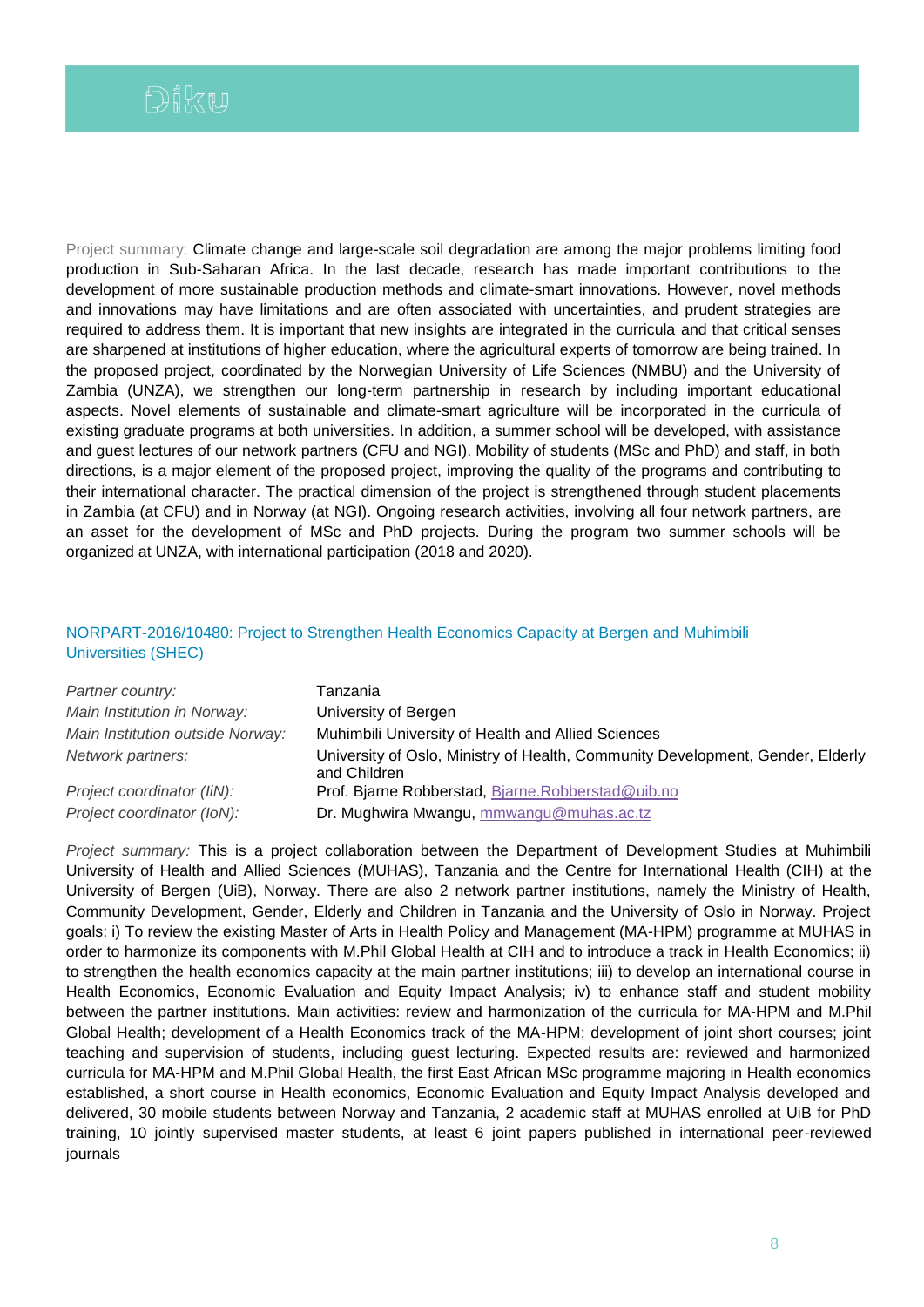Project summary: Climate change and large-scale soil degradation are among the major problems limiting food production in Sub-Saharan Africa. In the last decade, research has made important contributions to the development of more sustainable production methods and climate-smart innovations. However, novel methods and innovations may have limitations and are often associated with uncertainties, and prudent strategies are required to address them. It is important that new insights are integrated in the curricula and that critical senses are sharpened at institutions of higher education, where the agricultural experts of tomorrow are being trained. In the proposed project, coordinated by the Norwegian University of Life Sciences (NMBU) and the University of Zambia (UNZA), we strengthen our long-term partnership in research by including important educational aspects. Novel elements of sustainable and climate-smart agriculture will be incorporated in the curricula of existing graduate programs at both universities. In addition, a summer school will be developed, with assistance and guest lectures of our network partners (CFU and NGI). Mobility of students (MSc and PhD) and staff, in both directions, is a major element of the proposed project, improving the quality of the programs and contributing to their international character. The practical dimension of the project is strengthened through student placements in Zambia (at CFU) and in Norway (at NGI). Ongoing research activities, involving all four network partners, are an asset for the development of MSc and PhD projects. During the program two summer schools will be organized at UNZA, with international participation (2018 and 2020).

# NORPART-2016/10480: Project to Strengthen Health Economics Capacity at Bergen and Muhimbili Universities (SHEC)

| Partner country:                 | Tanzania                                                                                       |
|----------------------------------|------------------------------------------------------------------------------------------------|
| Main Institution in Norway:      | University of Bergen                                                                           |
| Main Institution outside Norway: | Muhimbili University of Health and Allied Sciences                                             |
| Network partners:                | University of Oslo, Ministry of Health, Community Development, Gender, Elderly<br>and Children |
| Project coordinator (liN):       | Prof. Bjarne Robberstad, Bjarne. Robberstad@uib.no                                             |
| Project coordinator (IoN):       | Dr. Mughwira Mwangu, mmwangu@muhas.ac.tz                                                       |

*Project summary:* This is a project collaboration between the Department of Development Studies at Muhimbili University of Health and Allied Sciences (MUHAS), Tanzania and the Centre for International Health (CIH) at the University of Bergen (UiB), Norway. There are also 2 network partner institutions, namely the Ministry of Health, Community Development, Gender, Elderly and Children in Tanzania and the University of Oslo in Norway. Project goals: i) To review the existing Master of Arts in Health Policy and Management (MA-HPM) programme at MUHAS in order to harmonize its components with M.Phil Global Health at CIH and to introduce a track in Health Economics; ii) to strengthen the health economics capacity at the main partner institutions; iii) to develop an international course in Health Economics, Economic Evaluation and Equity Impact Analysis; iv) to enhance staff and student mobility between the partner institutions. Main activities: review and harmonization of the curricula for MA-HPM and M.Phil Global Health; development of a Health Economics track of the MA-HPM; development of joint short courses; joint teaching and supervision of students, including guest lecturing. Expected results are: reviewed and harmonized curricula for MA-HPM and M.Phil Global Health, the first East African MSc programme majoring in Health economics established, a short course in Health economics, Economic Evaluation and Equity Impact Analysis developed and delivered, 30 mobile students between Norway and Tanzania, 2 academic staff at MUHAS enrolled at UiB for PhD training, 10 jointly supervised master students, at least 6 joint papers published in international peer-reviewed journals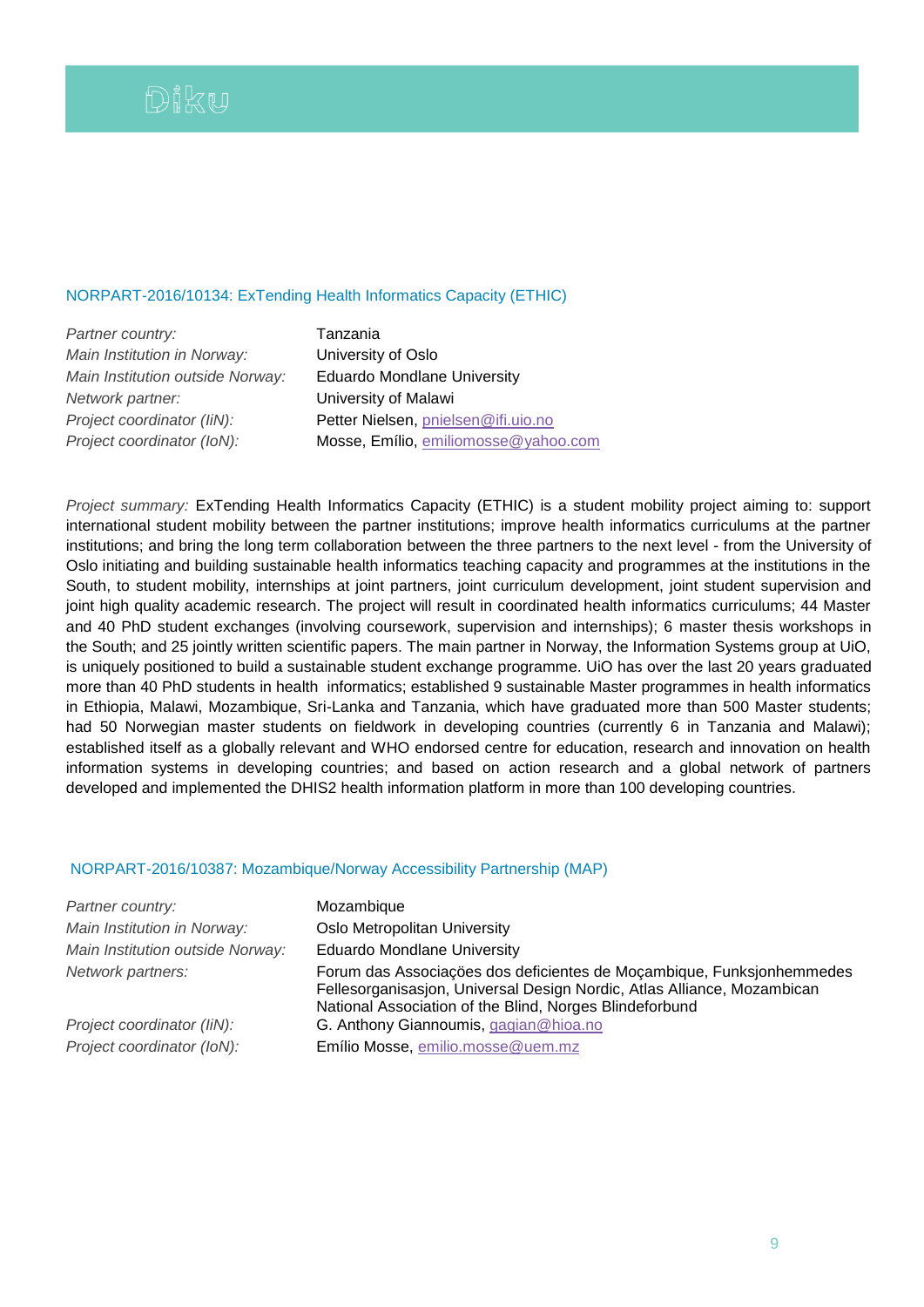### NORPART-2016/10134: ExTending Health Informatics Capacity (ETHIC)

*Partner country:* Tanzania *Main Institution in Norway:* University of Oslo *Main Institution outside Norway:* Eduardo Mondlane University *Network partner:* University of Malawi *Project coordinator (IiN):* Petter Nielsen, [pnielsen@ifi.uio.no](mailto:pnielsen@ifi.uio.no) *Project coordinator (IoN):* Mosse, Emílio, [emiliomosse@yahoo.com](mailto:emiliomosse@yahoo.com)

*Project summary:* ExTending Health Informatics Capacity (ETHIC) is a student mobility project aiming to: support international student mobility between the partner institutions; improve health informatics curriculums at the partner institutions; and bring the long term collaboration between the three partners to the next level - from the University of Oslo initiating and building sustainable health informatics teaching capacity and programmes at the institutions in the South, to student mobility, internships at joint partners, joint curriculum development, joint student supervision and joint high quality academic research. The project will result in coordinated health informatics curriculums; 44 Master and 40 PhD student exchanges (involving coursework, supervision and internships); 6 master thesis workshops in the South; and 25 jointly written scientific papers. The main partner in Norway, the Information Systems group at UiO, is uniquely positioned to build a sustainable student exchange programme. UiO has over the last 20 years graduated more than 40 PhD students in health informatics; established 9 sustainable Master programmes in health informatics in Ethiopia, Malawi, Mozambique, Sri-Lanka and Tanzania, which have graduated more than 500 Master students; had 50 Norwegian master students on fieldwork in developing countries (currently 6 in Tanzania and Malawi); established itself as a globally relevant and WHO endorsed centre for education, research and innovation on health information systems in developing countries; and based on action research and a global network of partners developed and implemented the DHIS2 health information platform in more than 100 developing countries.

### NORPART-2016/10387: Mozambique/Norway Accessibility Partnership (MAP)

| Partner country:                 | Mozambique                                                                                                                                                                                                  |
|----------------------------------|-------------------------------------------------------------------------------------------------------------------------------------------------------------------------------------------------------------|
| Main Institution in Norway:      | Oslo Metropolitan University                                                                                                                                                                                |
| Main Institution outside Norway: | <b>Eduardo Mondlane University</b>                                                                                                                                                                          |
| Network partners:                | Forum das Associações dos deficientes de Moçambique, Funksjonhemmedes<br>Fellesorganisasjon, Universal Design Nordic, Atlas Alliance, Mozambican<br>National Association of the Blind, Norges Blindeforbund |
| Project coordinator (IiN):       | G. Anthony Giannoumis, gagian@hioa.no                                                                                                                                                                       |
| Project coordinator (IoN):       | Emílio Mosse, emilio.mosse@uem.mz                                                                                                                                                                           |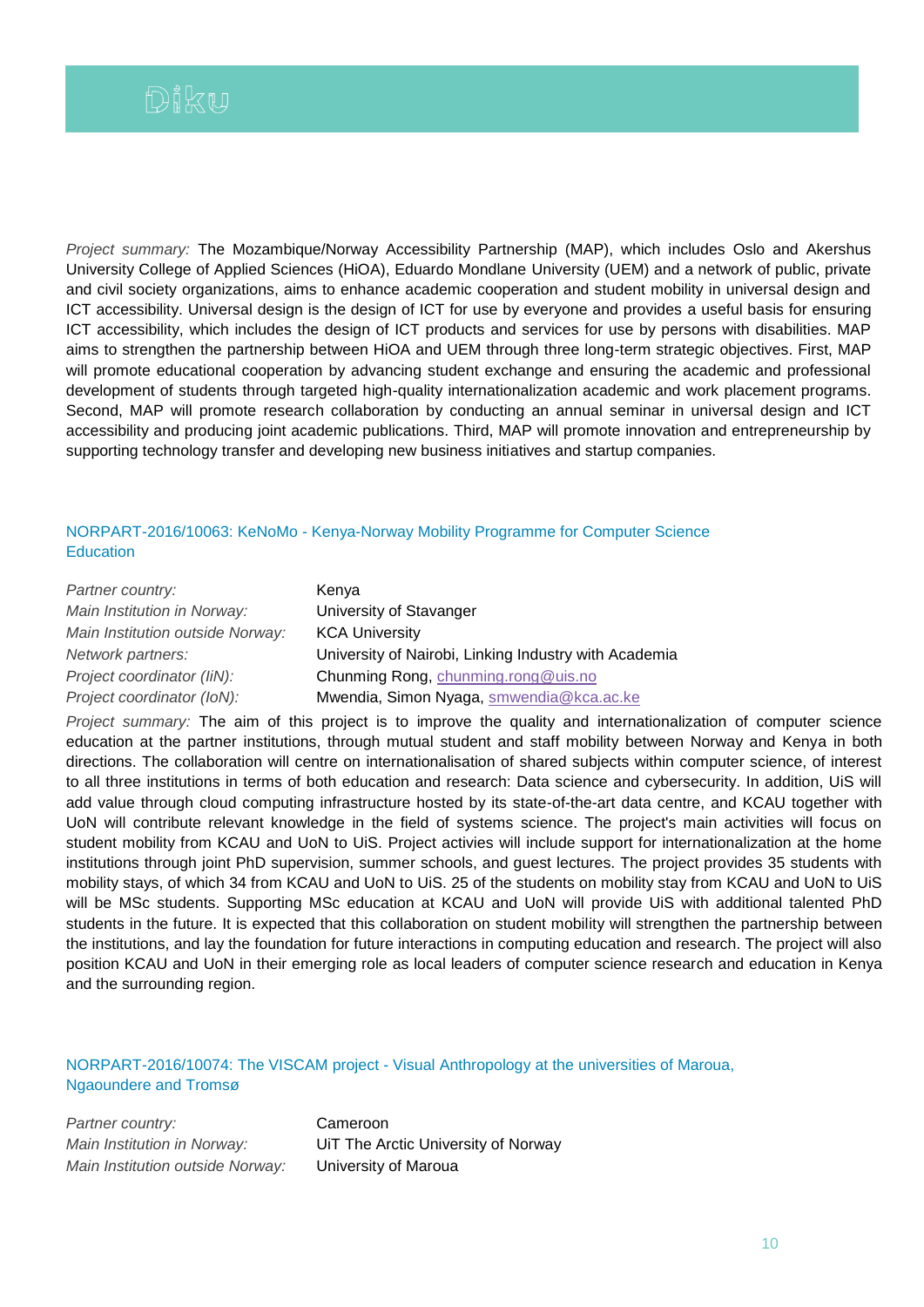*Project summary:* The Mozambique/Norway Accessibility Partnership (MAP), which includes Oslo and Akershus University College of Applied Sciences (HiOA), Eduardo Mondlane University (UEM) and a network of public, private and civil society organizations, aims to enhance academic cooperation and student mobility in universal design and ICT accessibility. Universal design is the design of ICT for use by everyone and provides a useful basis for ensuring ICT accessibility, which includes the design of ICT products and services for use by persons with disabilities. MAP aims to strengthen the partnership between HiOA and UEM through three long-term strategic objectives. First, MAP will promote educational cooperation by advancing student exchange and ensuring the academic and professional development of students through targeted high-quality internationalization academic and work placement programs. Second, MAP will promote research collaboration by conducting an annual seminar in universal design and ICT accessibility and producing joint academic publications. Third, MAP will promote innovation and entrepreneurship by supporting technology transfer and developing new business initiatives and startup companies.

# NORPART-2016/10063: KeNoMo - Kenya-Norway Mobility Programme for Computer Science **Education**

| Partner country:                 | Kenya                                                 |
|----------------------------------|-------------------------------------------------------|
| Main Institution in Norway:      | University of Stavanger                               |
| Main Institution outside Norway: | <b>KCA University</b>                                 |
| Network partners:                | University of Nairobi, Linking Industry with Academia |
| Project coordinator (IiN):       | Chunming Rong, chunming.rong@uis.no                   |
| Project coordinator (IoN):       | Mwendia, Simon Nyaga, smwendia@kca.ac.ke              |
|                                  |                                                       |

*Project summary:* The aim of this project is to improve the quality and internationalization of computer science education at the partner institutions, through mutual student and staff mobility between Norway and Kenya in both directions. The collaboration will centre on internationalisation of shared subjects within computer science, of interest to all three institutions in terms of both education and research: Data science and cybersecurity. In addition, UiS will add value through cloud computing infrastructure hosted by its state-of-the-art data centre, and KCAU together with UoN will contribute relevant knowledge in the field of systems science. The project's main activities will focus on student mobility from KCAU and UoN to UiS. Project activies will include support for internationalization at the home institutions through joint PhD supervision, summer schools, and guest lectures. The project provides 35 students with mobility stays, of which 34 from KCAU and UoN to UiS. 25 of the students on mobility stay from KCAU and UoN to UiS will be MSc students. Supporting MSc education at KCAU and UoN will provide UiS with additional talented PhD students in the future. It is expected that this collaboration on student mobility will strengthen the partnership between the institutions, and lay the foundation for future interactions in computing education and research. The project will also position KCAU and UoN in their emerging role as local leaders of computer science research and education in Kenya and the surrounding region.

# NORPART-2016/10074: The VISCAM project - Visual Anthropology at the universities of Maroua, Ngaoundere and Tromsø

**Partner country:** Cameroon *Main Institution outside Norway:* University of Maroua

*Main Institution in Norway:* UiT The Arctic University of Norway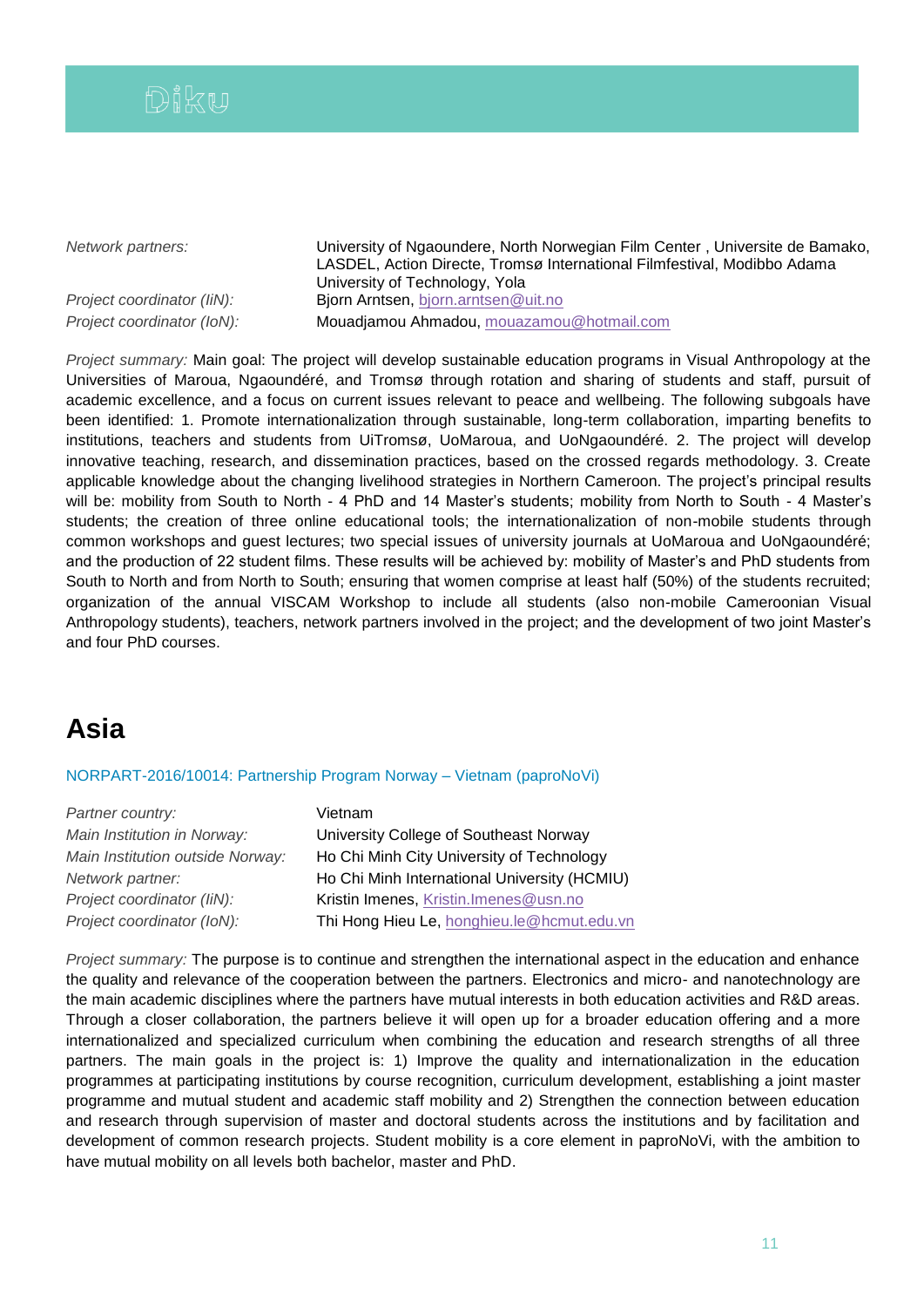

*Network partners:* University of Ngaoundere, North Norwegian Film Center , Universite de Bamako, LASDEL, Action Directe, Tromsø International Filmfestival, Modibbo Adama University of Technology, Yola *Project coordinator (IiN):* Bjorn Arntsen, [bjorn.arntsen@uit.no](mailto:bjorn.arntsen@uit.no) *Project coordinator (IoN):* Mouadjamou Ahmadou, [mouazamou@hotmail.com](mailto:mouazamou@hotmail.com)

*Project summary:* Main goal: The project will develop sustainable education programs in Visual Anthropology at the Universities of Maroua, Ngaoundéré, and Tromsø through rotation and sharing of students and staff, pursuit of academic excellence, and a focus on current issues relevant to peace and wellbeing. The following subgoals have been identified: 1. Promote internationalization through sustainable, long-term collaboration, imparting benefits to institutions, teachers and students from UiTromsø, UoMaroua, and UoNgaoundéré. 2. The project will develop innovative teaching, research, and dissemination practices, based on the crossed regards methodology. 3. Create applicable knowledge about the changing livelihood strategies in Northern Cameroon. The project's principal results will be: mobility from South to North - 4 PhD and 14 Master's students; mobility from North to South - 4 Master's students; the creation of three online educational tools; the internationalization of non-mobile students through common workshops and guest lectures; two special issues of university journals at UoMaroua and UoNgaoundéré; and the production of 22 student films. These results will be achieved by: mobility of Master's and PhD students from South to North and from North to South; ensuring that women comprise at least half (50%) of the students recruited; organization of the annual VISCAM Workshop to include all students (also non-mobile Cameroonian Visual Anthropology students), teachers, network partners involved in the project; and the development of two joint Master's and four PhD courses.

# **Asia**

## NORPART-2016/10014: Partnership Program Norway – Vietnam (paproNoVi)

| Partner country:                 | Vietnam                                      |
|----------------------------------|----------------------------------------------|
| Main Institution in Norway:      | University College of Southeast Norway       |
| Main Institution outside Norway: | Ho Chi Minh City University of Technology    |
| Network partner:                 | Ho Chi Minh International University (HCMIU) |
| Project coordinator (IiN):       | Kristin Imenes, Kristin.Imenes@usn.no        |
| Project coordinator (IoN):       | Thi Hong Hieu Le, honghieu.le@hcmut.edu.vn   |
|                                  |                                              |

*Project summary:* The purpose is to continue and strengthen the international aspect in the education and enhance the quality and relevance of the cooperation between the partners. Electronics and micro- and nanotechnology are the main academic disciplines where the partners have mutual interests in both education activities and R&D areas. Through a closer collaboration, the partners believe it will open up for a broader education offering and a more internationalized and specialized curriculum when combining the education and research strengths of all three partners. The main goals in the project is: 1) Improve the quality and internationalization in the education programmes at participating institutions by course recognition, curriculum development, establishing a joint master programme and mutual student and academic staff mobility and 2) Strengthen the connection between education and research through supervision of master and doctoral students across the institutions and by facilitation and development of common research projects. Student mobility is a core element in paproNoVi, with the ambition to have mutual mobility on all levels both bachelor, master and PhD.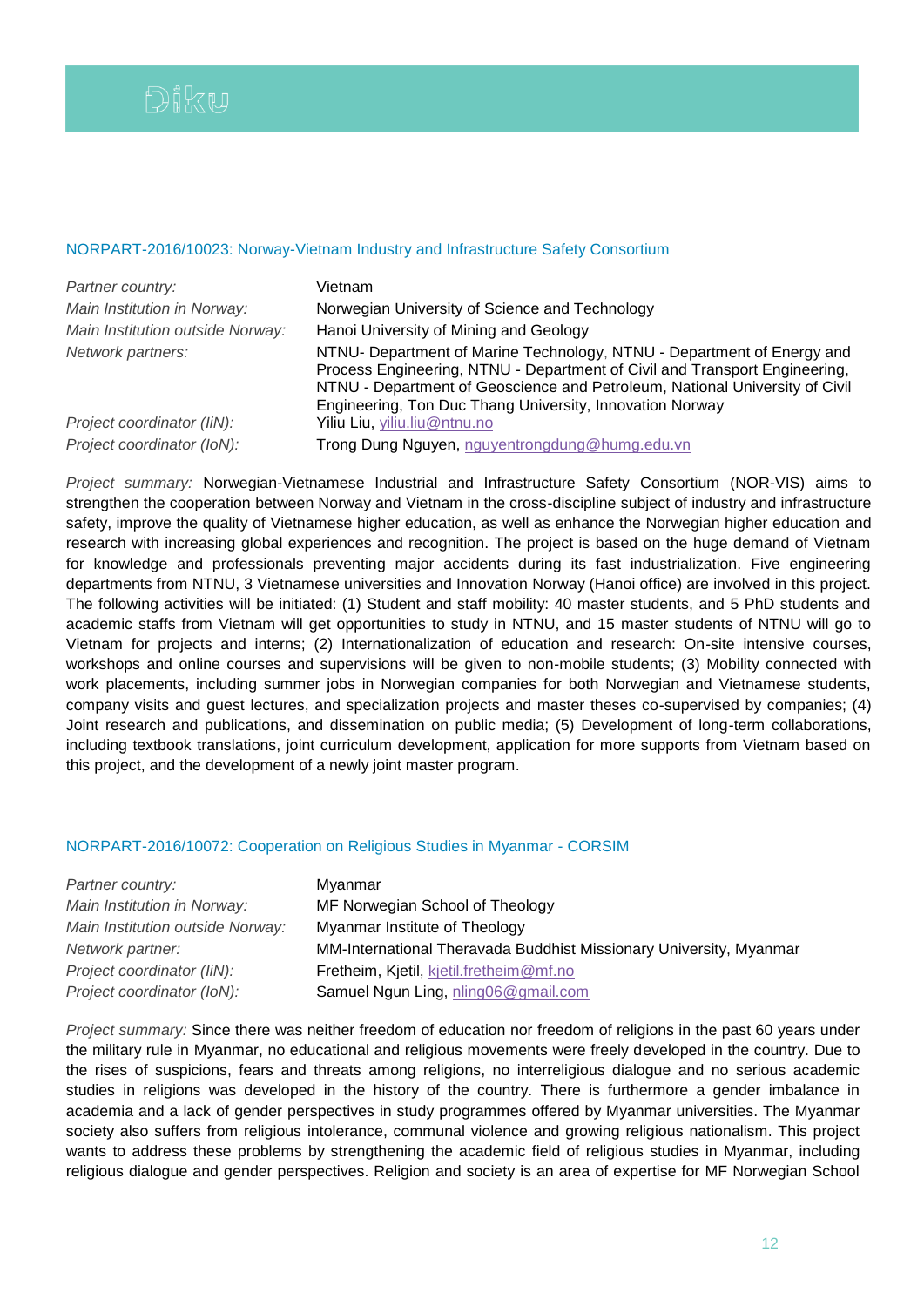## NORPART-2016/10023: Norway-Vietnam Industry and Infrastructure Safety Consortium

| Partner country:                 | Vietnam                                                                                                                                                                                                                                                                                         |
|----------------------------------|-------------------------------------------------------------------------------------------------------------------------------------------------------------------------------------------------------------------------------------------------------------------------------------------------|
| Main Institution in Norway:      | Norwegian University of Science and Technology                                                                                                                                                                                                                                                  |
| Main Institution outside Norway: | Hanoi University of Mining and Geology                                                                                                                                                                                                                                                          |
| Network partners:                | NTNU- Department of Marine Technology, NTNU - Department of Energy and<br>Process Engineering, NTNU - Department of Civil and Transport Engineering,<br>NTNU - Department of Geoscience and Petroleum, National University of Civil<br>Engineering, Ton Duc Thang University, Innovation Norway |
| Project coordinator (IiN):       | Yiliu Liu, yiliu.liu@ntnu.no                                                                                                                                                                                                                                                                    |
| Project coordinator (IoN):       | Trong Dung Nguyen, nguyentrongdung@humg.edu.vn                                                                                                                                                                                                                                                  |

*Project summary:* Norwegian-Vietnamese Industrial and Infrastructure Safety Consortium (NOR-VIS) aims to strengthen the cooperation between Norway and Vietnam in the cross-discipline subject of industry and infrastructure safety, improve the quality of Vietnamese higher education, as well as enhance the Norwegian higher education and research with increasing global experiences and recognition. The project is based on the huge demand of Vietnam for knowledge and professionals preventing major accidents during its fast industrialization. Five engineering departments from NTNU, 3 Vietnamese universities and Innovation Norway (Hanoi office) are involved in this project. The following activities will be initiated: (1) Student and staff mobility: 40 master students, and 5 PhD students and academic staffs from Vietnam will get opportunities to study in NTNU, and 15 master students of NTNU will go to Vietnam for projects and interns; (2) Internationalization of education and research: On-site intensive courses, workshops and online courses and supervisions will be given to non-mobile students; (3) Mobility connected with work placements, including summer jobs in Norwegian companies for both Norwegian and Vietnamese students, company visits and guest lectures, and specialization projects and master theses co-supervised by companies; (4) Joint research and publications, and dissemination on public media; (5) Development of long-term collaborations, including textbook translations, joint curriculum development, application for more supports from Vietnam based on this project, and the development of a newly joint master program.

## NORPART-2016/10072: Cooperation on Religious Studies in Myanmar - CORSIM

| Partner country:                 | Myanmar                                                            |
|----------------------------------|--------------------------------------------------------------------|
| Main Institution in Norway:      | MF Norwegian School of Theology                                    |
| Main Institution outside Norway: | Myanmar Institute of Theology                                      |
| Network partner:                 | MM-International Theravada Buddhist Missionary University, Myanmar |
| Project coordinator (IiN):       | Fretheim, Kjetil, kjetil.fretheim@mf.no                            |
| Project coordinator (IoN):       | Samuel Ngun Ling, nling06@gmail.com                                |

*Project summary:* Since there was neither freedom of education nor freedom of religions in the past 60 years under the military rule in Myanmar, no educational and religious movements were freely developed in the country. Due to the rises of suspicions, fears and threats among religions, no interreligious dialogue and no serious academic studies in religions was developed in the history of the country. There is furthermore a gender imbalance in academia and a lack of gender perspectives in study programmes offered by Myanmar universities. The Myanmar society also suffers from religious intolerance, communal violence and growing religious nationalism. This project wants to address these problems by strengthening the academic field of religious studies in Myanmar, including religious dialogue and gender perspectives. Religion and society is an area of expertise for MF Norwegian School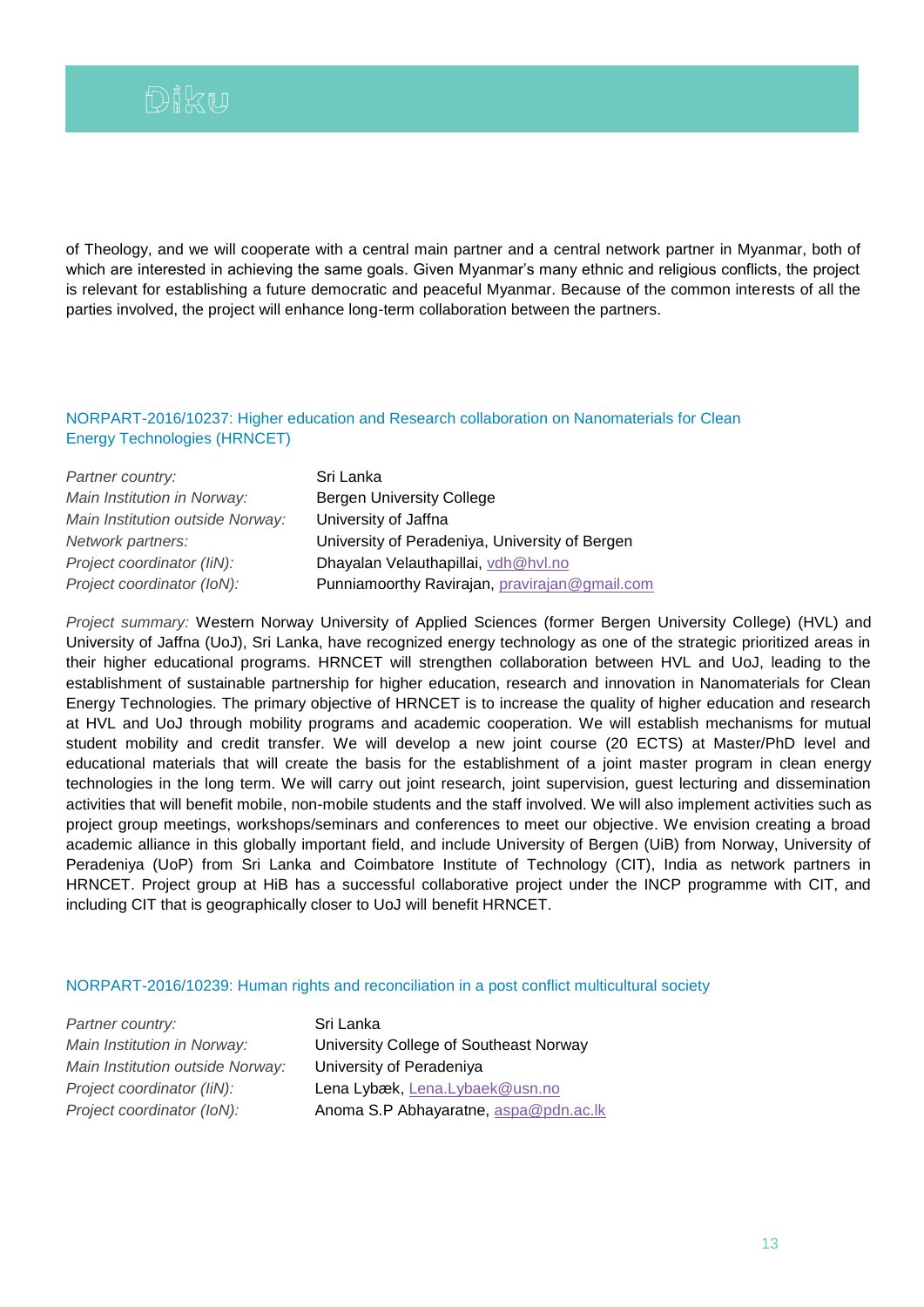of Theology, and we will cooperate with a central main partner and a central network partner in Myanmar, both of which are interested in achieving the same goals. Given Myanmar's many ethnic and religious conflicts, the project is relevant for establishing a future democratic and peaceful Myanmar. Because of the common interests of all the parties involved, the project will enhance long-term collaboration between the partners.

## NORPART-2016/10237: Higher education and Research collaboration on Nanomaterials for Clean Energy Technologies (HRNCET)

| Partner country:                 | Sri Lanka                                      |
|----------------------------------|------------------------------------------------|
| Main Institution in Norway:      | <b>Bergen University College</b>               |
| Main Institution outside Norway: | University of Jaffna                           |
| Network partners:                | University of Peradeniya, University of Bergen |
| Project coordinator (IiN):       | Dhayalan Velauthapillai, vdh@hvl.no            |
| Project coordinator (IoN):       | Punniamoorthy Ravirajan, pravirajan@gmail.com  |

*Project summary:* Western Norway University of Applied Sciences (former Bergen University College) (HVL) and University of Jaffna (UoJ), Sri Lanka, have recognized energy technology as one of the strategic prioritized areas in their higher educational programs. HRNCET will strengthen collaboration between HVL and UoJ, leading to the establishment of sustainable partnership for higher education, research and innovation in Nanomaterials for Clean Energy Technologies. The primary objective of HRNCET is to increase the quality of higher education and research at HVL and UoJ through mobility programs and academic cooperation. We will establish mechanisms for mutual student mobility and credit transfer. We will develop a new joint course (20 ECTS) at Master/PhD level and educational materials that will create the basis for the establishment of a joint master program in clean energy technologies in the long term. We will carry out joint research, joint supervision, guest lecturing and dissemination activities that will benefit mobile, non-mobile students and the staff involved. We will also implement activities such as project group meetings, workshops/seminars and conferences to meet our objective. We envision creating a broad academic alliance in this globally important field, and include University of Bergen (UiB) from Norway, University of Peradeniya (UoP) from Sri Lanka and Coimbatore Institute of Technology (CIT), India as network partners in HRNCET. Project group at HiB has a successful collaborative project under the INCP programme with CIT, and including CIT that is geographically closer to UoJ will benefit HRNCET.

### NORPART-2016/10239: Human rights and reconciliation in a post conflict multicultural society

| Partner country:                 |
|----------------------------------|
| Main Institution in Norway:      |
| Main Institution outside Norway: |
| Project coordinator (IiN):       |
| Project coordinator (IoN):       |

*Partner country:* Sri Lanka *Main University College of Southeast Norway: Main Institution outside Norway:* University of Peradeniya Lena Lybæk, [Lena.Lybaek@usn.no](mailto:Lena.Lybaek@usn.no) *Project coordinator (IoN):* Anoma S.P Abhayaratne, [aspa@pdn.ac.lk](mailto:aspa@pdn.ac.lk)